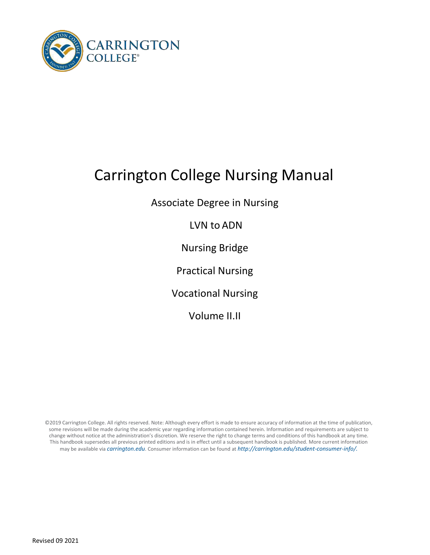

# Carrington College Nursing Manual

Associate Degree in Nursing

LVN to ADN

Nursing Bridge

Practical Nursing

Vocational Nursing

Volume II.II

©2019 Carrington College. All rights reserved. Note: Although every effort is made to ensure accuracy of information at the time of publication, some revisions will be made during the academic year regarding information contained herein. Information and requirements are subject to change without notice at the administration's discretion. We reserve the right to change terms and conditions of this handbook at any time. This handbook supersedes all previous printed editions and is in effect until a subsequent handbook is published. More current information may be available via *[carrington.edu](http://www.carrington.edu/)*[. C](http://www.carrington.edu/)onsumer information can be found at *[http://carrington.edu/student-consumer-info/.](http://carrington.edu/carrington-college-california/student-consumer-info/)*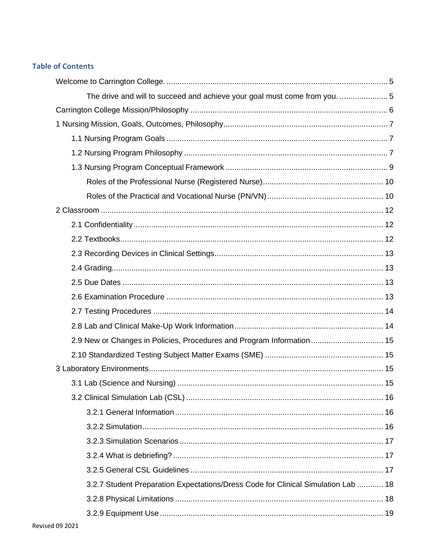# **Table of Contents**

| The drive and will to succeed and achieve your goal must come from you.  5        |  |
|-----------------------------------------------------------------------------------|--|
|                                                                                   |  |
|                                                                                   |  |
|                                                                                   |  |
|                                                                                   |  |
|                                                                                   |  |
|                                                                                   |  |
|                                                                                   |  |
|                                                                                   |  |
|                                                                                   |  |
|                                                                                   |  |
|                                                                                   |  |
|                                                                                   |  |
|                                                                                   |  |
|                                                                                   |  |
|                                                                                   |  |
|                                                                                   |  |
| 2.9 New or Changes in Policies, Procedures and Program Information  15            |  |
|                                                                                   |  |
|                                                                                   |  |
|                                                                                   |  |
|                                                                                   |  |
|                                                                                   |  |
|                                                                                   |  |
|                                                                                   |  |
|                                                                                   |  |
|                                                                                   |  |
| 3.2.7 Student Preparation Expectations/Dress Code for Clinical Simulation Lab  18 |  |
|                                                                                   |  |
|                                                                                   |  |
|                                                                                   |  |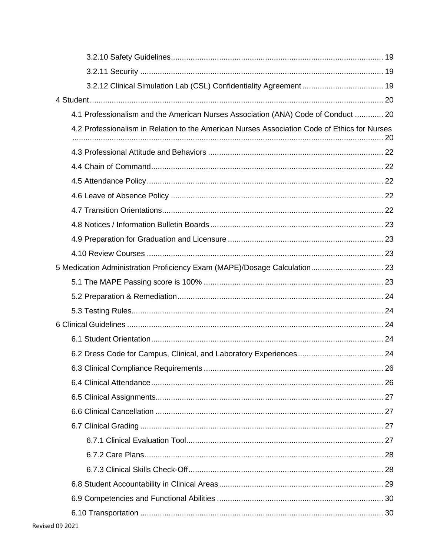| 4.1 Professionalism and the American Nurses Association (ANA) Code of Conduct  20            |  |
|----------------------------------------------------------------------------------------------|--|
| 4.2 Professionalism in Relation to the American Nurses Association Code of Ethics for Nurses |  |
|                                                                                              |  |
|                                                                                              |  |
|                                                                                              |  |
|                                                                                              |  |
|                                                                                              |  |
|                                                                                              |  |
|                                                                                              |  |
|                                                                                              |  |
| 5 Medication Administration Proficiency Exam (MAPE)/Dosage Calculation 23                    |  |
|                                                                                              |  |
|                                                                                              |  |
|                                                                                              |  |
|                                                                                              |  |
|                                                                                              |  |
|                                                                                              |  |
|                                                                                              |  |
|                                                                                              |  |
|                                                                                              |  |
|                                                                                              |  |
|                                                                                              |  |
|                                                                                              |  |
|                                                                                              |  |
|                                                                                              |  |
|                                                                                              |  |
|                                                                                              |  |
|                                                                                              |  |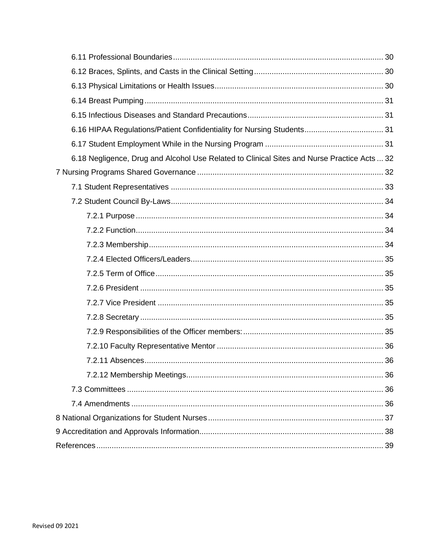| 6.18 Negligence, Drug and Alcohol Use Related to Clinical Sites and Nurse Practice Acts  32 |
|---------------------------------------------------------------------------------------------|
|                                                                                             |
|                                                                                             |
|                                                                                             |
|                                                                                             |
|                                                                                             |
|                                                                                             |
|                                                                                             |
|                                                                                             |
|                                                                                             |
|                                                                                             |
|                                                                                             |
|                                                                                             |
|                                                                                             |
|                                                                                             |
|                                                                                             |
|                                                                                             |
|                                                                                             |
|                                                                                             |
|                                                                                             |
|                                                                                             |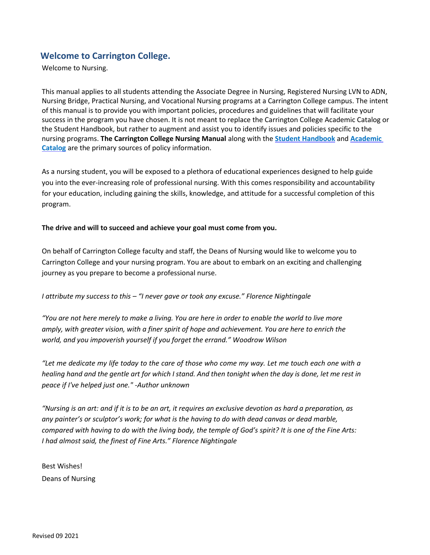# <span id="page-4-0"></span>**Welcome to Carrington College.**

Welcome to Nursing.

This manual applies to all students attending the Associate Degree in Nursing, Registered Nursing LVN to ADN, Nursing Bridge, Practical Nursing, and Vocational Nursing programs at a Carrington College campus. The intent of this manual is to provide you with important policies, procedures and guidelines that will facilitate your success in the program you have chosen. It is not meant to replace the Carrington College Academic Catalog or the Student Handbook, but rather to augment and assist you to identify issues and policies specific to the nursing programs. **The Carrington College Nursing Manual** along with the **[Student Handbook](http://students.carrington.edu/student-handbook/)** and **[Academic](https://carrington.edu/carrington-college/catalog/)  [Catalog](https://carrington.edu/carrington-college/catalog/)** are the primary sources of policy information.

As a nursing student, you will be exposed to a plethora of educational experiences designed to help guide you into the ever-increasing role of professional nursing. With this comes responsibility and accountability for your education, including gaining the skills, knowledge, and attitude for a successful completion of this program.

#### <span id="page-4-1"></span>**The drive and will to succeed and achieve your goal must come from you.**

On behalf of Carrington College faculty and staff, the Deans of Nursing would like to welcome you to Carrington College and your nursing program. You are about to embark on an exciting and challenging journey as you prepare to become a professional nurse.

#### *I attribute my success to this – "I never gave or took any excuse." Florence Nightingale*

*"You are not here merely to make a living. You are here in order to enable the world to live more amply, with greater vision, with a finer spirit of hope and achievement. You are here to enrich the world, and you impoverish yourself if you forget the errand." Woodrow Wilson*

*"Let me dedicate my life today to the care of those who come my way. Let me touch each one with a healing hand and the gentle art for which I stand. And then tonight when the day is done, let me rest in peace if I've helped just one." -Author unknown*

*"Nursing is an art: and if it is to be an art, it requires an exclusive devotion as hard a preparation, as any painter's or sculptor's work; for what is the having to do with dead canvas or dead marble, compared with having to do with the living body, the temple of God's spirit? It is one of the Fine Arts: I had almost said, the finest of Fine Arts." Florence Nightingale*

Best Wishes! Deans of Nursing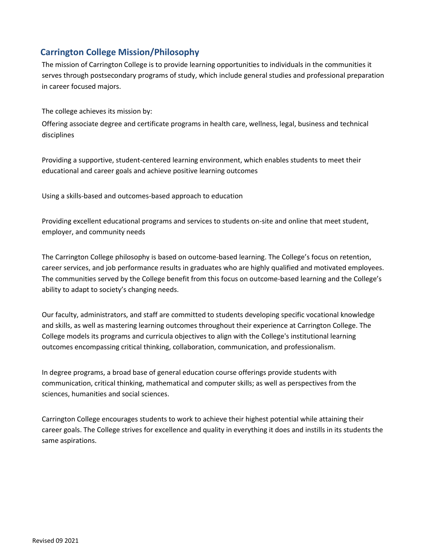# <span id="page-5-0"></span>**Carrington College Mission/Philosophy**

The mission of Carrington College is to provide learning opportunities to individuals in the communities it serves through postsecondary programs of study, which include general studies and professional preparation in career focused majors.

The college achieves its mission by:

Offering associate degree and certificate programs in health care, wellness, legal, business and technical disciplines

Providing a supportive, student-centered learning environment, which enables students to meet their educational and career goals and achieve positive learning outcomes

Using a skills-based and outcomes-based approach to education

Providing excellent educational programs and services to students on-site and online that meet student, employer, and community needs

The Carrington College philosophy is based on outcome-based learning. The College's focus on retention, career services, and job performance results in graduates who are highly qualified and motivated employees. The communities served by the College benefit from this focus on outcome-based learning and the College's ability to adapt to society's changing needs.

Our faculty, administrators, and staff are committed to students developing specific vocational knowledge and skills, as well as mastering learning outcomes throughout their experience at Carrington College. The College models its programs and curricula objectives to align with the College's institutional learning outcomes encompassing critical thinking, collaboration, communication, and professionalism.

In degree programs, a broad base of general education course offerings provide students with communication, critical thinking, mathematical and computer skills; as well as perspectives from the sciences, humanities and social sciences.

Carrington College encourages students to work to achieve their highest potential while attaining their career goals. The College strives for excellence and quality in everything it does and instills in its students the same aspirations.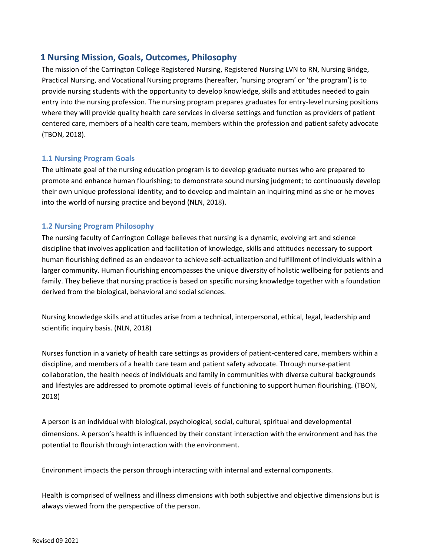# <span id="page-6-0"></span>**1 Nursing Mission, Goals, Outcomes, Philosophy**

The mission of the Carrington College Registered Nursing, Registered Nursing LVN to RN, Nursing Bridge, Practical Nursing, and Vocational Nursing programs (hereafter, 'nursing program' or 'the program') is to provide nursing students with the opportunity to develop knowledge, skills and attitudes needed to gain entry into the nursing profession. The nursing program prepares graduates for entry-level nursing positions where they will provide quality health care services in diverse settings and function as providers of patient centered care, members of a health care team, members within the profession and patient safety advocate (TBON, 2018).

## <span id="page-6-1"></span>**1.1 Nursing Program Goals**

The ultimate goal of the nursing education program is to develop graduate nurses who are prepared to promote and enhance human flourishing; to demonstrate sound nursing judgment; to continuously develop their own unique professional identity; and to develop and maintain an inquiring mind as she or he moves into the world of nursing practice and beyond (NLN, 2018).

## <span id="page-6-2"></span>**1.2 Nursing Program Philosophy**

The nursing faculty of Carrington College believes that nursing is a dynamic, evolving art and science discipline that involves application and facilitation of knowledge, skills and attitudes necessary to support human flourishing defined as an endeavor to achieve self-actualization and fulfillment of individuals within a larger community. Human flourishing encompasses the unique diversity of holistic wellbeing for patients and family. They believe that nursing practice is based on specific nursing knowledge together with a foundation derived from the biological, behavioral and social sciences.

Nursing knowledge skills and attitudes arise from a technical, interpersonal, ethical, legal, leadership and scientific inquiry basis. (NLN, 2018)

Nurses function in a variety of health care settings as providers of patient-centered care, members within a discipline, and members of a health care team and patient safety advocate. Through nurse-patient collaboration, the health needs of individuals and family in communities with diverse cultural backgrounds and lifestyles are addressed to promote optimal levels of functioning to support human flourishing. (TBON, 2018)

A person is an individual with biological, psychological, social, cultural, spiritual and developmental dimensions. A person's health is influenced by their constant interaction with the environment and has the potential to flourish through interaction with the environment.

Environment impacts the person through interacting with internal and external components.

Health is comprised of wellness and illness dimensions with both subjective and objective dimensions but is always viewed from the perspective of the person.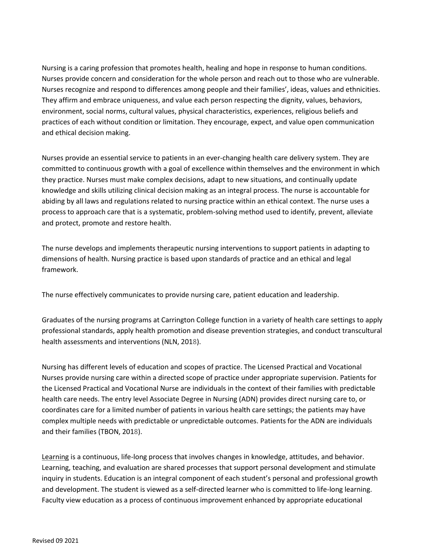Nursing is a caring profession that promotes health, healing and hope in response to human conditions. Nurses provide concern and consideration for the whole person and reach out to those who are vulnerable. Nurses recognize and respond to differences among people and their families', ideas, values and ethnicities. They affirm and embrace uniqueness, and value each person respecting the dignity, values, behaviors, environment, social norms, cultural values, physical characteristics, experiences, religious beliefs and practices of each without condition or limitation. They encourage, expect, and value open communication and ethical decision making.

Nurses provide an essential service to patients in an ever-changing health care delivery system. They are committed to continuous growth with a goal of excellence within themselves and the environment in which they practice. Nurses must make complex decisions, adapt to new situations, and continually update knowledge and skills utilizing clinical decision making as an integral process. The nurse is accountable for abiding by all laws and regulations related to nursing practice within an ethical context. The nurse uses a process to approach care that is a systematic, problem-solving method used to identify, prevent, alleviate and protect, promote and restore health.

The nurse develops and implements therapeutic nursing interventions to support patients in adapting to dimensions of health. Nursing practice is based upon standards of practice and an ethical and legal framework.

The nurse effectively communicates to provide nursing care, patient education and leadership.

Graduates of the nursing programs at Carrington College function in a variety of health care settings to apply professional standards, apply health promotion and disease prevention strategies, and conduct transcultural health assessments and interventions (NLN, 2018).

Nursing has different levels of education and scopes of practice. The Licensed Practical and Vocational Nurses provide nursing care within a directed scope of practice under appropriate supervision. Patients for the Licensed Practical and Vocational Nurse are individuals in the context of their families with predictable health care needs. The entry level Associate Degree in Nursing (ADN) provides direct nursing care to, or coordinates care for a limited number of patients in various health care settings; the patients may have complex multiple needs with predictable or unpredictable outcomes. Patients for the ADN are individuals and their families (TBON, 2018).

Learning is a continuous, life-long process that involves changes in knowledge, attitudes, and behavior. Learning, teaching, and evaluation are shared processes that support personal development and stimulate inquiry in students. Education is an integral component of each student's personal and professional growth and development. The student is viewed as a self-directed learner who is committed to life-long learning. Faculty view education as a process of continuous improvement enhanced by appropriate educational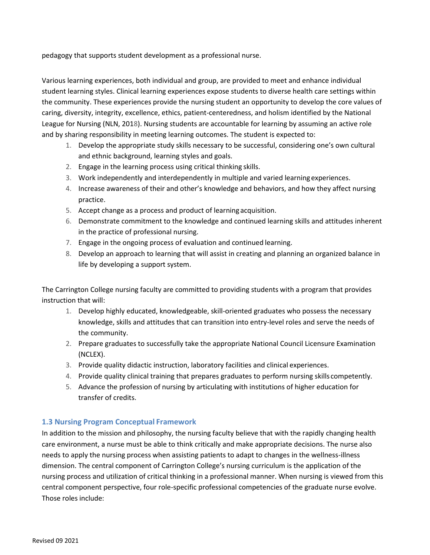pedagogy that supports student development as a professional nurse.

Various learning experiences, both individual and group, are provided to meet and enhance individual student learning styles. Clinical learning experiences expose students to diverse health care settings within the community. These experiences provide the nursing student an opportunity to develop the core values of caring, diversity, integrity, excellence, ethics, patient-centeredness, and holism identified by the National League for Nursing (NLN, 2018). Nursing students are accountable for learning by assuming an active role and by sharing responsibility in meeting learning outcomes. The student is expected to:

- 1. Develop the appropriate study skills necessary to be successful, considering one's own cultural and ethnic background, learning styles and goals.
- 2. Engage in the learning process using critical thinking skills.
- 3. Work independently and interdependently in multiple and varied learningexperiences.
- 4. Increase awareness of their and other's knowledge and behaviors, and how they affect nursing practice.
- 5. Accept change as a process and product of learning acquisition.
- 6. Demonstrate commitment to the knowledge and continued learning skills and attitudes inherent in the practice of professional nursing.
- 7. Engage in the ongoing process of evaluation and continued learning.
- 8. Develop an approach to learning that will assist in creating and planning an organized balance in life by developing a support system.

The Carrington College nursing faculty are committed to providing students with a program that provides instruction that will:

- 1. Develop highly educated, knowledgeable, skill-oriented graduates who possess the necessary knowledge, skills and attitudes that can transition into entry-level roles and serve the needs of the community.
- 2. Prepare graduates to successfully take the appropriate National Council Licensure Examination (NCLEX).
- 3. Provide quality didactic instruction, laboratory facilities and clinical experiences.
- 4. Provide quality clinical training that prepares graduates to perform nursing skills competently.
- 5. Advance the profession of nursing by articulating with institutions of higher education for transfer of credits.

## <span id="page-8-0"></span>**1.3 Nursing Program Conceptual Framework**

In addition to the mission and philosophy, the nursing faculty believe that with the rapidly changing health care environment, a nurse must be able to think critically and make appropriate decisions. The nurse also needs to apply the nursing process when assisting patients to adapt to changes in the wellness-illness dimension. The central component of Carrington College's nursing curriculum is the application of the nursing process and utilization of critical thinking in a professional manner. When nursing is viewed from this central component perspective, four role-specific professional competencies of the graduate nurse evolve. Those roles include: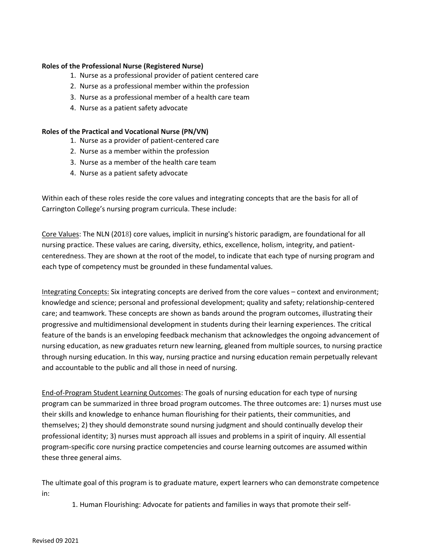#### <span id="page-9-0"></span>**Roles of the Professional Nurse (Registered Nurse)**

- 1. Nurse as a professional provider of patient centered care
- 2. Nurse as a professional member within the profession
- 3. Nurse as a professional member of a health care team
- 4. Nurse as a patient safety advocate

#### <span id="page-9-1"></span>**Roles of the Practical and Vocational Nurse (PN/VN)**

- 1. Nurse as a provider of patient-centered care
- 2. Nurse as a member within the profession
- 3. Nurse as a member of the health care team
- 4. Nurse as a patient safety advocate

Within each of these roles reside the core values and integrating concepts that are the basis for all of Carrington College's nursing program curricula. These include:

Core Values: The NLN (2018) core values, implicit in nursing's historic paradigm, are foundational for all nursing practice. These values are caring, diversity, ethics, excellence, holism, integrity, and patientcenteredness. They are shown at the root of the model, to indicate that each type of nursing program and each type of competency must be grounded in these fundamental values.

Integrating Concepts: Six integrating concepts are derived from the core values – context and environment; knowledge and science; personal and professional development; quality and safety; relationship-centered care; and teamwork. These concepts are shown as bands around the program outcomes, illustrating their progressive and multidimensional development in students during their learning experiences. The critical feature of the bands is an enveloping feedback mechanism that acknowledges the ongoing advancement of nursing education, as new graduates return new learning, gleaned from multiple sources, to nursing practice through nursing education. In this way, nursing practice and nursing education remain perpetually relevant and accountable to the public and all those in need of nursing.

End-of-Program Student Learning Outcomes: The goals of nursing education for each type of nursing program can be summarized in three broad program outcomes. The three outcomes are: 1) nurses must use their skills and knowledge to enhance human flourishing for their patients, their communities, and themselves; 2) they should demonstrate sound nursing judgment and should continually develop their professional identity; 3) nurses must approach all issues and problems in a spirit of inquiry. All essential program-specific core nursing practice competencies and course learning outcomes are assumed within these three general aims.

The ultimate goal of this program is to graduate mature, expert learners who can demonstrate competence in:

1. Human Flourishing: Advocate for patients and families in ways that promote their self-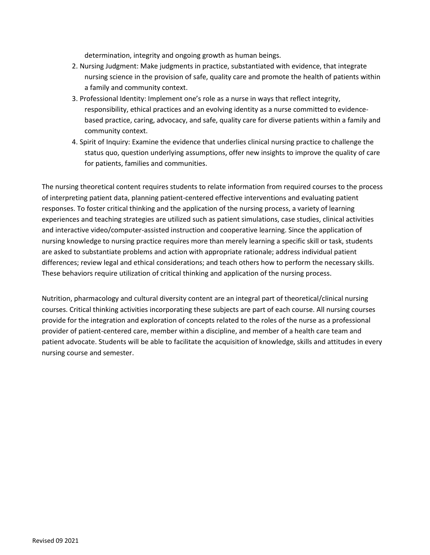determination, integrity and ongoing growth as human beings.

- 2. Nursing Judgment: Make judgments in practice, substantiated with evidence, that integrate nursing science in the provision of safe, quality care and promote the health of patients within a family and community context.
- 3. Professional Identity: Implement one's role as a nurse in ways that reflect integrity, responsibility, ethical practices and an evolving identity as a nurse committed to evidencebased practice, caring, advocacy, and safe, quality care for diverse patients within a family and community context.
- 4. Spirit of Inquiry: Examine the evidence that underlies clinical nursing practice to challenge the status quo, question underlying assumptions, offer new insights to improve the quality of care for patients, families and communities.

The nursing theoretical content requires students to relate information from required courses to the process of interpreting patient data, planning patient-centered effective interventions and evaluating patient responses. To foster critical thinking and the application of the nursing process, a variety of learning experiences and teaching strategies are utilized such as patient simulations, case studies, clinical activities and interactive video/computer-assisted instruction and cooperative learning. Since the application of nursing knowledge to nursing practice requires more than merely learning a specific skill or task, students are asked to substantiate problems and action with appropriate rationale; address individual patient differences; review legal and ethical considerations; and teach others how to perform the necessary skills. These behaviors require utilization of critical thinking and application of the nursing process.

Nutrition, pharmacology and cultural diversity content are an integral part of theoretical/clinical nursing courses. Critical thinking activities incorporating these subjects are part of each course. All nursing courses provide for the integration and exploration of concepts related to the roles of the nurse as a professional provider of patient-centered care, member within a discipline, and member of a health care team and patient advocate. Students will be able to facilitate the acquisition of knowledge, skills and attitudes in every nursing course and semester.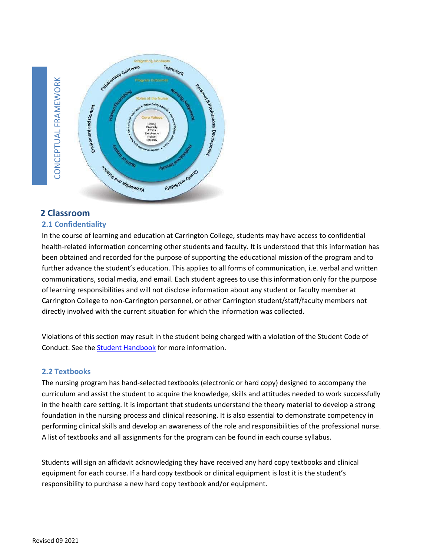



## <span id="page-11-0"></span>**2 Classroom**

## <span id="page-11-1"></span>**2.1 Confidentiality**

In the course of learning and education at Carrington College, students may have access to confidential health-related information concerning other students and faculty. It is understood that this information has been obtained and recorded for the purpose of supporting the educational mission of the program and to further advance the student's education. This applies to all forms of communication, i.e. verbal and written communications, social media, and email. Each student agrees to use this information only for the purpose of learning responsibilities and will not disclose information about any student or faculty member at Carrington College to non-Carrington personnel, or other Carrington student/staff/faculty members not directly involved with the current situation for which the information was collected.

Violations of this section may result in the student being charged with a violation of the Student Code of Conduct. See the [Student Handbook](http://students.carrington.edu/student-handbook/) for more information.

#### <span id="page-11-2"></span>**2.2 Textbooks**

The nursing program has hand-selected textbooks (electronic or hard copy) designed to accompany the curriculum and assist the student to acquire the knowledge, skills and attitudes needed to work successfully in the health care setting. It is important that students understand the theory material to develop a strong foundation in the nursing process and clinical reasoning. It is also essential to demonstrate competency in performing clinical skills and develop an awareness of the role and responsibilities of the professional nurse. A list of textbooks and all assignments for the program can be found in each course syllabus.

Students will sign an affidavit acknowledging they have received any hard copy textbooks and clinical equipment for each course. If a hard copy textbook or clinical equipment is lost it is the student's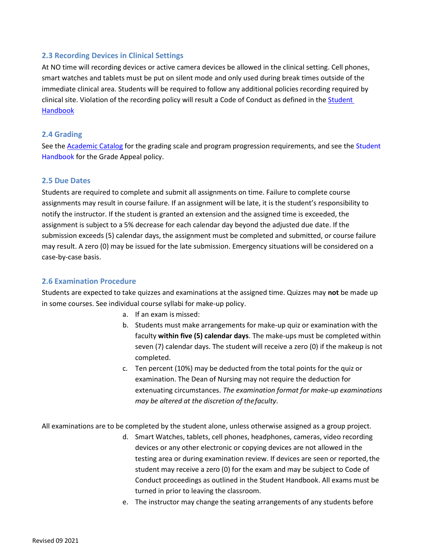### <span id="page-12-0"></span>**2.3 Recording Devices in Clinical Settings**

At NO time will recording devices or active camera devices be allowed in the clinical setting. Cell phones, smart watches and tablets must be put on silent mode and only used during break times outside of the immediate clinical area. Students will be required to follow any additional policies recording required by clinical site. Violation of the recording policy will result a Code of Conduct as defined in the **Student** [Handbook](http://students.carrington.edu/student-handbook/)

#### <span id="page-12-1"></span>**2.4 Grading**

See the **Academic Catalog** for the grading scale and program progression requirements, and see the Student [Handbook f](http://students.carrington.edu/student-handbook/)or the Grade Appeal policy.

#### <span id="page-12-2"></span>**2.5 Due Dates**

Students are required to complete and submit all assignments on time. Failure to complete course assignments may result in course failure. If an assignment will be late, it is the student's responsibility to notify the instructor. If the student is granted an extension and the assigned time is exceeded, the assignment is subject to a 5% decrease for each calendar day beyond the adjusted due date. If the submission exceeds (5) calendar days, the assignment must be completed and submitted, or course failure may result. A zero (0) may be issued for the late submission. Emergency situations will be considered on a case-by-case basis.

#### <span id="page-12-3"></span>**2.6 Examination Procedure**

Students are expected to take quizzes and examinations at the assigned time. Quizzes may **not** be made up in some courses. See individual course syllabi for make-up policy.

- a. If an exam is missed:
- b. Students must make arrangements for make-up quiz or examination with the faculty **within five (5) calendar days**. The make-ups must be completed within seven (7) calendar days. The student will receive a zero (0) if the makeup is not completed.
- c. Ten percent (10%) may be deducted from the total points for the quiz or examination. The Dean of Nursing may not require the deduction for extenuating circumstances. *The examination format for make-up examinations may be altered at the discretion of thefaculty*.

All examinations are to be completed by the student alone, unless otherwise assigned as a group project.

- d. Smart Watches, tablets, cell phones, headphones, cameras, video recording devices or any other electronic or copying devices are not allowed in the testing area or during examination review. If devices are seen or reported, the student may receive a zero (0) for the exam and may be subject to Code of Conduct proceedings as outlined in the Student Handbook. All exams must be turned in prior to leaving the classroom.
- e. The instructor may change the seating arrangements of any students before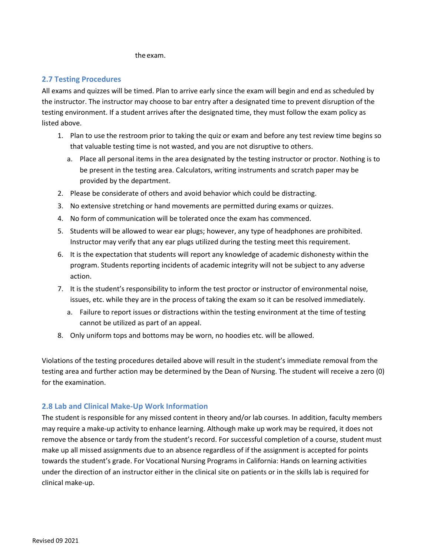the exam.

## <span id="page-13-0"></span>**2.7 Testing Procedures**

All exams and quizzes will be timed. Plan to arrive early since the exam will begin and end as scheduled by the instructor. The instructor may choose to bar entry after a designated time to prevent disruption of the testing environment. If a student arrives after the designated time, they must follow the exam policy as listed above.

- 1. Plan to use the restroom prior to taking the quiz or exam and before any test review time begins so that valuable testing time is not wasted, and you are not disruptive to others.
	- a. Place all personal items in the area designated by the testing instructor or proctor. Nothing is to be present in the testing area. Calculators, writing instruments and scratch paper may be provided by the department.
- 2. Please be considerate of others and avoid behavior which could be distracting.
- 3. No extensive stretching or hand movements are permitted during exams or quizzes.
- 4. No form of communication will be tolerated once the exam has commenced.
- 5. Students will be allowed to wear ear plugs; however, any type of headphones are prohibited. Instructor may verify that any ear plugs utilized during the testing meet this requirement.
- 6. It is the expectation that students will report any knowledge of academic dishonesty within the program. Students reporting incidents of academic integrity will not be subject to any adverse action.
- 7. It is the student's responsibility to inform the test proctor or instructor of environmental noise, issues, etc. while they are in the process of taking the exam so it can be resolved immediately.
	- a. Failure to report issues or distractions within the testing environment at the time of testing cannot be utilized as part of an appeal.
- 8. Only uniform tops and bottoms may be worn, no hoodies etc. will be allowed.

Violations of the testing procedures detailed above will result in the student's immediate removal from the testing area and further action may be determined by the Dean of Nursing. The student will receive a zero (0) for the examination.

## <span id="page-13-1"></span>**2.8 Lab and Clinical Make-Up Work Information**

The student is responsible for any missed content in theory and/or lab courses. In addition, faculty members may require a make-up activity to enhance learning. Although make up work may be required, it does not remove the absence or tardy from the student's record. For successful completion of a course, student must make up all missed assignments due to an absence regardless of if the assignment is accepted for points towards the student's grade. For Vocational Nursing Programs in California: Hands on learning activities under the direction of an instructor either in the clinical site on patients or in the skills lab is required for clinical make-up.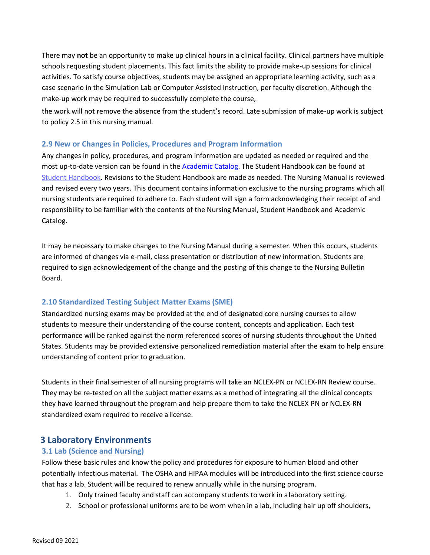There may **not** be an opportunity to make up clinical hours in a clinical facility. Clinical partners have multiple schools requesting student placements. This fact limits the ability to provide make-up sessions for clinical activities. To satisfy course objectives, students may be assigned an appropriate learning activity, such as a case scenario in the Simulation Lab or Computer Assisted Instruction, per faculty discretion. Although the make-up work may be required to successfully complete the course,

the work will not remove the absence from the student's record. Late submission of make-up work is subject to policy 2.5 in this nursing manual.

### <span id="page-14-0"></span>**2.9 New or Changes in Policies, Procedures and Program Information**

Any changes in policy, procedures, and program information are updated as needed or required and the most up-to-date version can be found in the [Academic Catalog.](https://carrington.edu/carrington-college/catalog/) The Student Handbook can be found at [Student Handbook.](http://students.carrington.edu/student-handbook/) Revisions to the Student Handbook are made as needed. The Nursing Manual is reviewed and revised every two years. This document contains information exclusive to the nursing programs which all nursing students are required to adhere to. Each student will sign a form acknowledging their receipt of and responsibility to be familiar with the contents of the Nursing Manual, Student Handbook and Academic Catalog.

It may be necessary to make changes to the Nursing Manual during a semester. When this occurs, students are informed of changes via e-mail, class presentation or distribution of new information. Students are required to sign acknowledgement of the change and the posting of this change to the Nursing Bulletin Board.

## <span id="page-14-1"></span>**2.10 Standardized Testing Subject Matter Exams (SME)**

Standardized nursing exams may be provided at the end of designated core nursing courses to allow students to measure their understanding of the course content, concepts and application. Each test performance will be ranked against the norm referenced scores of nursing students throughout the United States. Students may be provided extensive personalized remediation material after the exam to help ensure understanding of content prior to graduation.

Students in their final semester of all nursing programs will take an NCLEX-PN or NCLEX-RN Review course. They may be re-tested on all the subject matter exams as a method of integrating all the clinical concepts they have learned throughout the program and help prepare them to take the NCLEX PN or NCLEX-RN standardized exam required to receive a license.

## <span id="page-14-2"></span>**3 Laboratory Environments**

## <span id="page-14-3"></span>**3.1 Lab (Science and Nursing)**

Follow these basic rules and know the policy and procedures for exposure to human blood and other potentially infectious material. The OSHA and HIPAA modules will be introduced into the first science course that has a lab. Student will be required to renew annually while in the nursing program.

- 1. Only trained faculty and staff can accompany students to work in alaboratory setting.
- 2. School or professional uniforms are to be worn when in a lab, including hair up off shoulders,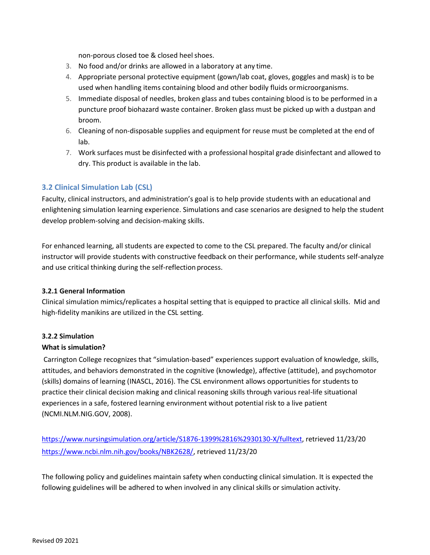non-porous closed toe & closed heel shoes.

- 3. No food and/or drinks are allowed in a laboratory at any time.
- 4. Appropriate personal protective equipment (gown/lab coat, gloves, goggles and mask) is to be used when handling items containing blood and other bodily fluids ormicroorganisms.
- 5. Immediate disposal of needles, broken glass and tubes containing blood is to be performed in a puncture proof biohazard waste container. Broken glass must be picked up with a dustpan and broom.
- 6. Cleaning of non-disposable supplies and equipment for reuse must be completed at the end of lab.
- 7. Work surfaces must be disinfected with a professional hospital grade disinfectant and allowed to dry. This product is available in the lab.

## <span id="page-15-0"></span>**3.2 Clinical Simulation Lab (CSL)**

Faculty, clinical instructors, and administration's goal is to help provide students with an educational and enlightening simulation learning experience. Simulations and case scenarios are designed to help the student develop problem-solving and decision-making skills.

For enhanced learning, all students are expected to come to the CSL prepared. The faculty and/or clinical instructor will provide students with constructive feedback on their performance, while students self-analyze and use critical thinking during the self-reflection process.

#### <span id="page-15-1"></span>**3.2.1 General Information**

Clinical simulation mimics/replicates a hospital setting that is equipped to practice all clinical skills. Mid and high-fidelity manikins are utilized in the CSL setting.

## <span id="page-15-2"></span>**3.2.2 Simulation**

## **What is simulation?**

Carrington College recognizes that "simulation-based" experiences support evaluation of knowledge, skills, attitudes, and behaviors demonstrated in the cognitive (knowledge), affective (attitude), and psychomotor (skills) domains of learning (INASCL, 2016). The CSL environment allows opportunities for students to practice their clinical decision making and clinical reasoning skills through various real-life situational experiences in a safe, fostered learning environment without potential risk to a live patient (NCMI.NLM.NIG.GOV, 2008).

[https://www.nursingsimulation.org/article/S1876-1399%2816%2930130-X/fulltext,](https://www.nursingsimulation.org/article/S1876-1399%2816%2930130-X/fulltext) retrieved 11/23/20 [https://www.ncbi.nlm.nih.gov/books/NBK2628/,](https://www.ncbi.nlm.nih.gov/books/NBK2628/) retrieved 11/23/20

The following policy and guidelines maintain safety when conducting clinical simulation. It is expected the following guidelines will be adhered to when involved in any clinical skills or simulation activity.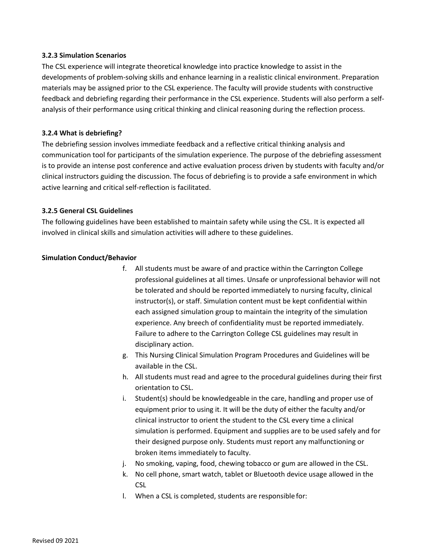#### <span id="page-16-0"></span>**3.2.3 Simulation Scenarios**

The CSL experience will integrate theoretical knowledge into practice knowledge to assist in the developments of problem-solving skills and enhance learning in a realistic clinical environment. Preparation materials may be assigned prior to the CSL experience. The faculty will provide students with constructive feedback and debriefing regarding their performance in the CSL experience. Students will also perform a selfanalysis of their performance using critical thinking and clinical reasoning during the reflection process.

#### <span id="page-16-1"></span>**3.2.4 What is debriefing?**

The debriefing session involves immediate feedback and a reflective critical thinking analysis and communication tool for participants of the simulation experience. The purpose of the debriefing assessment is to provide an intense post conference and active evaluation process driven by students with faculty and/or clinical instructors guiding the discussion. The focus of debriefing is to provide a safe environment in which active learning and critical self-reflection is facilitated.

#### <span id="page-16-2"></span>**3.2.5 General CSL Guidelines**

The following guidelines have been established to maintain safety while using the CSL. It is expected all involved in clinical skills and simulation activities will adhere to these guidelines.

#### **Simulation Conduct/Behavior**

- f. All students must be aware of and practice within the Carrington College professional guidelines at all times. Unsafe or unprofessional behavior will not be tolerated and should be reported immediately to nursing faculty, clinical instructor(s), or staff. Simulation content must be kept confidential within each assigned simulation group to maintain the integrity of the simulation experience. Any breech of confidentiality must be reported immediately. Failure to adhere to the Carrington College CSL guidelines may result in disciplinary action.
- g. This Nursing Clinical Simulation Program Procedures and Guidelines will be available in the CSL.
- h. All students must read and agree to the procedural guidelines during their first orientation to CSL.
- i. Student(s) should be knowledgeable in the care, handling and proper use of equipment prior to using it. It will be the duty of either the faculty and/or clinical instructor to orient the student to the CSL every time a clinical simulation is performed. Equipment and supplies are to be used safely and for their designed purpose only. Students must report any malfunctioning or broken items immediately to faculty.
- j. No smoking, vaping, food, chewing tobacco or gum are allowed in the CSL.
- k. No cell phone, smart watch, tablet or Bluetooth device usage allowed in the CSL
- l. When a CSL is completed, students are responsible for: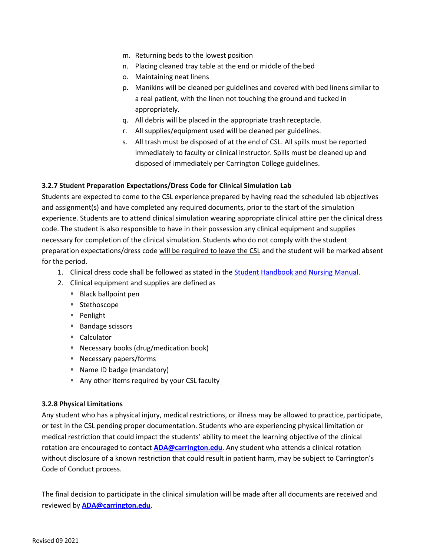- m. Returning beds to the lowest position
- n. Placing cleaned tray table at the end or middle of thebed
- o. Maintaining neat linens
- p. Manikins will be cleaned per guidelines and covered with bed linens similar to a real patient, with the linen not touching the ground and tucked in appropriately.
- q. All debris will be placed in the appropriate trash receptacle.
- r. All supplies/equipment used will be cleaned per guidelines.
- s. All trash must be disposed of at the end of CSL. All spills must be reported immediately to faculty or clinical instructor. Spills must be cleaned up and disposed of immediately per Carrington College guidelines.

#### <span id="page-17-0"></span>**3.2.7 Student Preparation Expectations/Dress Code for Clinical Simulation Lab**

Students are expected to come to the CSL experience prepared by having read the scheduled lab objectives and assignment(s) and have completed any required documents, prior to the start of the simulation experience. Students are to attend clinical simulation wearing appropriate clinical attire per the clinical dress code. The student is also responsible to have in their possession any clinical equipment and supplies necessary for completion of the clinical simulation. Students who do not comply with the student preparation expectations/dress code will be required to leave the CSL and the student will be marked absent for the period.

- 1. Clinical dress code shall be followed as stated in the Student Handbook [and Nursing Manual.](http://students.carrington.edu/student-handbook/)
- 2. Clinical equipment and supplies are defined as
	- Black ballpoint pen
	- Stethoscope
	- Penlight
	- Bandage scissors
	- Calculator
	- Necessary books (drug/medication book)
	- Necessary papers/forms
	- Name ID badge (mandatory)
	- Any other items required by your CSL faculty

#### <span id="page-17-1"></span>**3.2.8 Physical Limitations**

Any student who has a physical injury, medical restrictions, or illness may be allowed to practice, participate, or test in the CSL pending proper documentation. Students who are experiencing physical limitation or medical restriction that could impact the students' ability to meet the learning objective of the clinical rotation are encouraged to contact **[ADA@carrington.edu](mailto:ADA@carrington.edu)**. Any student who attends a clinical rotation without disclosure of a known restriction that could result in patient harm, may be subject to Carrington's Code of Conduct process.

The final decision to participate in the clinical simulation will be made after all documents are received and reviewed by **[ADA@carrington.edu](mailto:ADA@carrington.edu)**.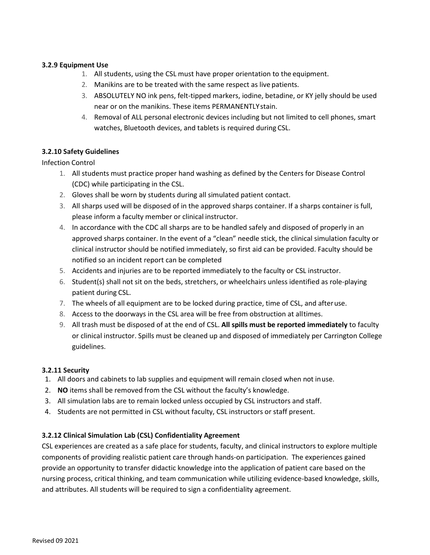#### <span id="page-18-0"></span>**3.2.9 Equipment Use**

- 1. All students, using the CSL must have proper orientation to the equipment.
- 2. Manikins are to be treated with the same respect as live patients.
- 3. ABSOLUTELY NO ink pens, felt-tipped markers, iodine, betadine, or KY jelly should be used near or on the manikins. These items PERMANENTLYstain.
- 4. Removal of ALL personal electronic devices including but not limited to cell phones, smart watches, Bluetooth devices, and tablets is required during CSL.

### <span id="page-18-1"></span>**3.2.10 Safety Guidelines**

Infection Control

- 1. All students must practice proper hand washing as defined by the Centers for Disease Control (CDC) while participating in the CSL.
- 2. Gloves shall be worn by students during all simulated patient contact.
- 3. All sharps used will be disposed of in the approved sharps container. If a sharps container is full, please inform a faculty member or clinical instructor.
- 4. In accordance with the CDC all sharps are to be handled safely and disposed of properly in an approved sharps container. In the event of a "clean" needle stick, the clinical simulation faculty or clinical instructor should be notified immediately, so first aid can be provided. Faculty should be notified so an incident report can be completed
- 5. Accidents and injuries are to be reported immediately to the faculty or CSL instructor.
- 6. Student(s) shall not sit on the beds, stretchers, or wheelchairs unless identified as role-playing patient during CSL.
- 7. The wheels of all equipment are to be locked during practice, time of CSL, and afteruse.
- 8. Access to the doorways in the CSL area will be free from obstruction at alltimes.
- 9. All trash must be disposed of at the end of CSL. **All spills must be reported immediately** to faculty or clinical instructor. Spills must be cleaned up and disposed of immediately per Carrington College guidelines.

#### <span id="page-18-2"></span>**3.2.11 Security**

- 1. All doors and cabinets to lab supplies and equipment will remain closed when not inuse.
- 2. **NO** items shall be removed from the CSL without the faculty's knowledge.
- 3. All simulation labs are to remain locked unless occupied by CSL instructors and staff.
- 4. Students are not permitted in CSL without faculty, CSL instructors or staff present.

#### <span id="page-18-3"></span>**3.2.12 Clinical Simulation Lab (CSL) Confidentiality Agreement**

CSL experiences are created as a safe place for students, faculty, and clinical instructors to explore multiple components of providing realistic patient care through hands-on participation. The experiences gained provide an opportunity to transfer didactic knowledge into the application of patient care based on the nursing process, critical thinking, and team communication while utilizing evidence-based knowledge, skills, and attributes. All students will be required to sign a confidentiality agreement.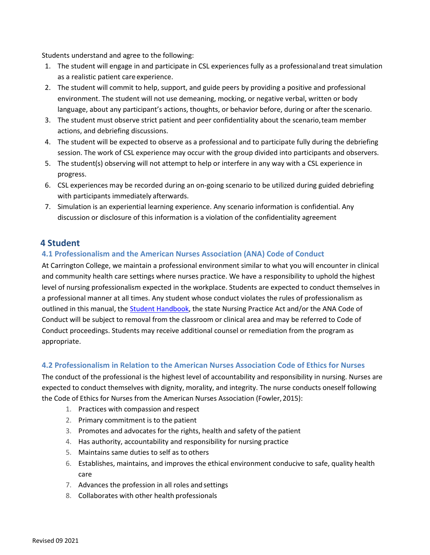Students understand and agree to the following:

- 1. The student will engage in and participate in CSL experiences fully as a professionaland treat simulation as a realistic patient care experience.
- 2. The student will commit to help, support, and guide peers by providing a positive and professional environment. The student will not use demeaning, mocking, or negative verbal, written or body language, about any participant's actions, thoughts, or behavior before, during or after the scenario.
- 3. The student must observe strict patient and peer confidentiality about the scenario,team member actions, and debriefing discussions.
- 4. The student will be expected to observe as a professional and to participate fully during the debriefing session. The work of CSL experience may occur with the group divided into participants and observers.
- 5. The student(s) observing will not attempt to help or interfere in any way with a CSL experience in progress.
- 6. CSL experiences may be recorded during an on-going scenario to be utilized during guided debriefing with participants immediately afterwards.
- 7. Simulation is an experiential learning experience. Any scenario information is confidential. Any discussion or disclosure of this information is a violation of the confidentiality agreement

## <span id="page-19-0"></span>**4 Student**

## <span id="page-19-1"></span>**4.1 Professionalism and the American Nurses Association (ANA) Code of Conduct**

At Carrington College, we maintain a professional environment similar to what you will encounter in clinical and community health care settings where nurses practice. We have a responsibility to uphold the highest level of nursing professionalism expected in the workplace. Students are expected to conduct themselves in a professional manner at all times. Any student whose conduct violates the rules of professionalism as outlined in this manual, the [Student Handbook, t](http://students.carrington.edu/student-handbook/)he state Nursing Practice Act and/or the ANA Code of Conduct will be subject to removal from the classroom or clinical area and may be referred to Code of Conduct proceedings. Students may receive additional counsel or remediation from the program as appropriate.

#### <span id="page-19-2"></span>**4.2 Professionalism in Relation to the American Nurses Association Code of Ethics for Nurses**

The conduct of the professional is the highest level of accountability and responsibility in nursing. Nurses are expected to conduct themselves with dignity, morality, and integrity. The nurse conducts oneself following the Code of Ethics for Nurses from the American Nurses Association (Fowler, 2015):

- 1. Practices with compassion and respect
- 2. Primary commitment is to the patient
- 3. Promotes and advocates for the rights, health and safety of the patient
- 4. Has authority, accountability and responsibility for nursing practice
- 5. Maintains same duties to self as to others
- 6. Establishes, maintains, and improves the ethical environment conducive to safe, quality health care
- 7. Advances the profession in all roles and settings
- 8. Collaborates with other health professionals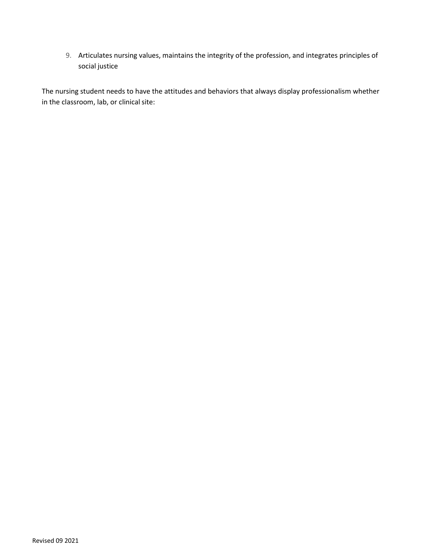9. Articulates nursing values, maintains the integrity of the profession, and integrates principles of social justice

The nursing student needs to have the attitudes and behaviors that always display professionalism whether in the classroom, lab, or clinical site: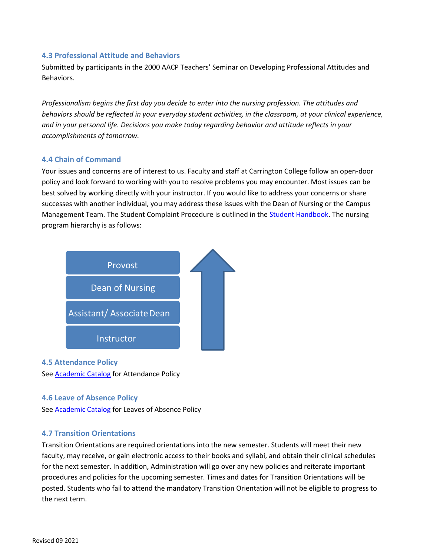### <span id="page-21-0"></span>**4.3 Professional Attitude and Behaviors**

Submitted by participants in the 2000 AACP Teachers' Seminar on Developing Professional Attitudes and Behaviors.

*Professionalism begins the first day you decide to enter into the nursing profession. The attitudes and behaviors should be reflected in your everyday student activities, in the classroom, at your clinical experience, and in your personal life. Decisions you make today regarding behavior and attitude reflects in your accomplishments of tomorrow.*

### <span id="page-21-1"></span>**4.4 Chain of Command**

Your issues and concerns are of interest to us. Faculty and staff at Carrington College follow an open-door policy and look forward to working with you to resolve problems you may encounter. Most issues can be best solved by working directly with your instructor. If you would like to address your concerns or share successes with another individual, you may address these issues with the Dean of Nursing or the Campus Management Team. The Student Complaint Procedure is outlined in the **Student Handbook**. The nursing program hierarchy is as follows:



<span id="page-21-2"></span>**4.5 Attendance Policy** See [Academic Catalog](http://docs.carrington.edu/catalog/carrington-college.pdf) for Attendance Policy

#### <span id="page-21-3"></span>**4.6 Leave of Absence Policy**

See **Academic Catalog** for Leaves of Absence Policy

## <span id="page-21-4"></span>**4.7 Transition Orientations**

Transition Orientations are required orientations into the new semester. Students will meet their new faculty, may receive, or gain electronic access to their books and syllabi, and obtain their clinical schedules for the next semester. In addition, Administration will go over any new policies and reiterate important procedures and policies for the upcoming semester. Times and dates for Transition Orientations will be posted. Students who fail to attend the mandatory Transition Orientation will not be eligible to progress to the next term.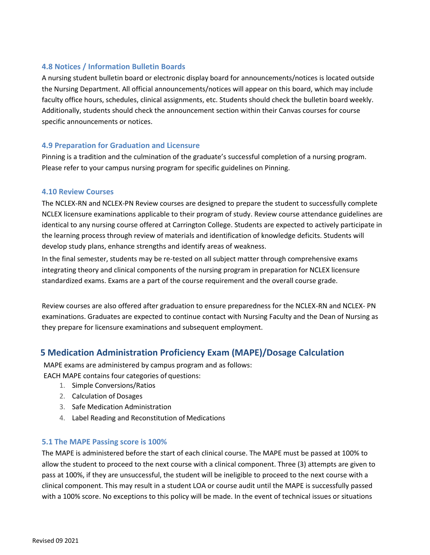## <span id="page-22-0"></span>**4.8 Notices / Information Bulletin Boards**

A nursing student bulletin board or electronic display board for announcements/notices is located outside the Nursing Department. All official announcements/notices will appear on this board, which may include faculty office hours, schedules, clinical assignments, etc. Students should check the bulletin board weekly. Additionally, students should check the announcement section within their Canvas courses for course specific announcements or notices.

## <span id="page-22-1"></span>**4.9 Preparation for Graduation and Licensure**

Pinning is a tradition and the culmination of the graduate's successful completion of a nursing program. Please refer to your campus nursing program for specific guidelines on Pinning.

#### <span id="page-22-2"></span>**4.10 Review Courses**

The NCLEX-RN and NCLEX-PN Review courses are designed to prepare the student to successfully complete NCLEX licensure examinations applicable to their program of study. Review course attendance guidelines are identical to any nursing course offered at Carrington College. Students are expected to actively participate in the learning process through review of materials and identification of knowledge deficits. Students will develop study plans, enhance strengths and identify areas of weakness.

In the final semester, students may be re-tested on all subject matter through comprehensive exams integrating theory and clinical components of the nursing program in preparation for NCLEX licensure standardized exams. Exams are a part of the course requirement and the overall course grade.

Review courses are also offered after graduation to ensure preparedness for the NCLEX-RN and NCLEX- PN examinations. Graduates are expected to continue contact with Nursing Faculty and the Dean of Nursing as they prepare for licensure examinations and subsequent employment.

# <span id="page-22-3"></span>**5 Medication Administration Proficiency Exam (MAPE)/Dosage Calculation**

MAPE exams are administered by campus program and as follows: EACH MAPE contains four categories of questions:

- 1. Simple Conversions/Ratios
- 2. Calculation of Dosages
- 3. Safe Medication Administration
- 4. Label Reading and Reconstitution of Medications

## <span id="page-22-4"></span>**5.1 The MAPE Passing score is 100%**

The MAPE is administered before the start of each clinical course. The MAPE must be passed at 100% to allow the student to proceed to the next course with a clinical component. Three (3) attempts are given to pass at 100%, if they are unsuccessful, the student will be ineligible to proceed to the next course with a clinical component. This may result in a student LOA or course audit until the MAPE is successfully passed with a 100% score. No exceptions to this policy will be made. In the event of technical issues or situations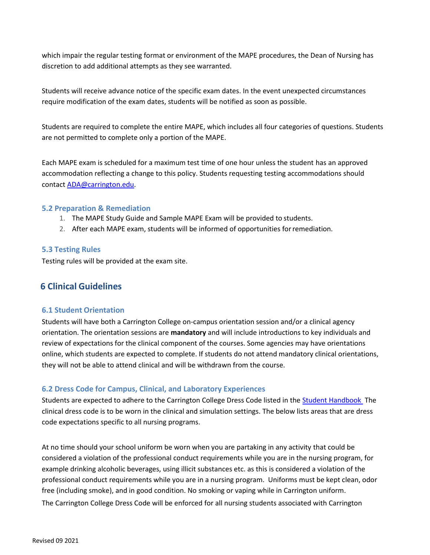which impair the regular testing format or environment of the MAPE procedures, the Dean of Nursing has discretion to add additional attempts as they see warranted.

Students will receive advance notice of the specific exam dates. In the event unexpected circumstances require modification of the exam dates, students will be notified as soon as possible.

Students are required to complete the entire MAPE, which includes all four categories of questions. Students are not permitted to complete only a portion of the MAPE.

Each MAPE exam is scheduled for a maximum test time of one hour unless the student has an approved accommodation reflecting a change to this policy. Students requesting testing accommodations should contac[t ADA@carrington.edu.](mailto:ADA@carrington.edu)

#### <span id="page-23-0"></span>**5.2 Preparation & Remediation**

- 1. The MAPE Study Guide and Sample MAPE Exam will be provided to students.
- 2. After each MAPE exam, students will be informed of opportunities forremediation.

#### <span id="page-23-1"></span>**5.3 Testing Rules**

Testing rules will be provided at the exam site.

## <span id="page-23-2"></span>**6 Clinical Guidelines**

## <span id="page-23-3"></span>**6.1 Student Orientation**

Students will have both a Carrington College on-campus orientation session and/or a clinical agency orientation. The orientation sessions are **mandatory** and will include introductions to key individuals and review of expectations for the clinical component of the courses. Some agencies may have orientations online, which students are expected to complete. If students do not attend mandatory clinical orientations, they will not be able to attend clinical and will be withdrawn from the course.

#### <span id="page-23-4"></span>**6.2 Dress Code for Campus, Clinical, and Laboratory Experiences**

Students are expected to adhere to the Carrington College Dress Code listed in the [Student Handbook](http://students.carrington.edu/student-handbook/) The clinical dress code is to be worn in the clinical and simulation settings. The below lists areas that are dress code expectations specific to all nursing programs.

At no time should your school uniform be worn when you are partaking in any activity that could be considered a violation of the professional conduct requirements while you are in the nursing program, for example drinking alcoholic beverages, using illicit substances etc. as this is considered a violation of the professional conduct requirements while you are in a nursing program. Uniforms must be kept clean, odor free (including smoke), and in good condition. No smoking or vaping while in Carrington uniform. The Carrington College Dress Code will be enforced for all nursing students associated with Carrington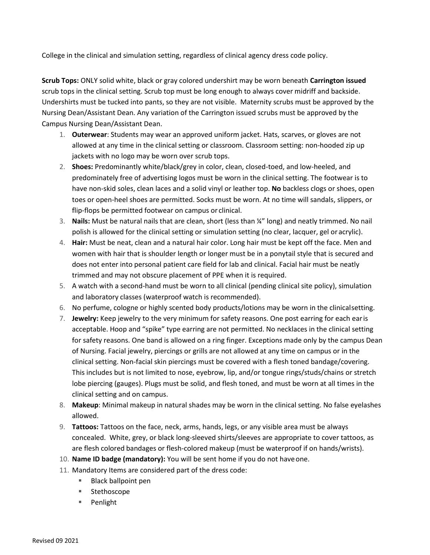College in the clinical and simulation setting, regardless of clinical agency dress code policy.

**Scrub Tops:** ONLY solid white, black or gray colored undershirt may be worn beneath **Carrington issued**  scrub tops in the clinical setting. Scrub top must be long enough to always cover midriff and backside. Undershirts must be tucked into pants, so they are not visible. Maternity scrubs must be approved by the Nursing Dean/Assistant Dean. Any variation of the Carrington issued scrubs must be approved by the Campus Nursing Dean/Assistant Dean.

- 1. **Outerwear**: Students may wear an approved uniform jacket. Hats, scarves, or gloves are not allowed at any time in the clinical setting or classroom. Classroom setting: non-hooded zip up jackets with no logo may be worn over scrub tops.
- 2. **Shoes:** Predominantly white/black/grey in color, clean, closed-toed, and low-heeled, and predominately free of advertising logos must be worn in the clinical setting. The footwear is to have non-skid soles, clean laces and a solid vinyl or leather top. **No** backless clogs or shoes, open toes or open-heel shoes are permitted. Socks must be worn. At no time will sandals, slippers, or flip-flops be permitted footwear on campus or clinical.
- 3. **Nails:** Must be natural nails that are clean, short (less than ¼" long) and neatly trimmed. No nail polish is allowed for the clinical setting or simulation setting (no clear, lacquer, gel or acrylic).
- 4. **Hair:** Must be neat, clean and a natural hair color. Long hair must be kept off the face. Men and women with hair that is shoulder length or longer must be in a ponytail style that is secured and does not enter into personal patient care field for lab and clinical. Facial hair must be neatly trimmed and may not obscure placement of PPE when it is required.
- 5. A watch with a second-hand must be worn to all clinical (pending clinical site policy), simulation and laboratory classes (waterproof watch is recommended).
- 6. No perfume, cologne or highly scented body products/lotions may be worn in the clinicalsetting.
- 7. **Jewelry:** Keep jewelry to the very minimum for safety reasons. One post earring for each earis acceptable. Hoop and "spike" type earring are not permitted. No necklaces in the clinical setting for safety reasons. One band is allowed on a ring finger. Exceptions made only by the campus Dean of Nursing. Facial jewelry, piercings or grills are not allowed at any time on campus or in the clinical setting. Non-facial skin piercings must be covered with a flesh toned bandage/covering. This includes but is not limited to nose, eyebrow, lip, and/or tongue rings/studs/chains or stretch lobe piercing (gauges). Plugs must be solid, and flesh toned, and must be worn at all times in the clinical setting and on campus.
- 8. **Makeup**: Minimal makeup in natural shades may be worn in the clinical setting. No false eyelashes allowed.
- 9. **Tattoos:** Tattoos on the face, neck, arms, hands, legs, or any visible area must be always concealed. White, grey, or black long-sleeved shirts/sleeves are appropriate to cover tattoos, as are flesh colored bandages or flesh-colored makeup (must be waterproof if on hands/wrists).
- 10. **Name ID badge (mandatory):** You will be sent home if you do not haveone.
- 11. Mandatory Items are considered part of the dress code:
	- **Black ballpoint pen**
	- Stethoscope
	- Penlight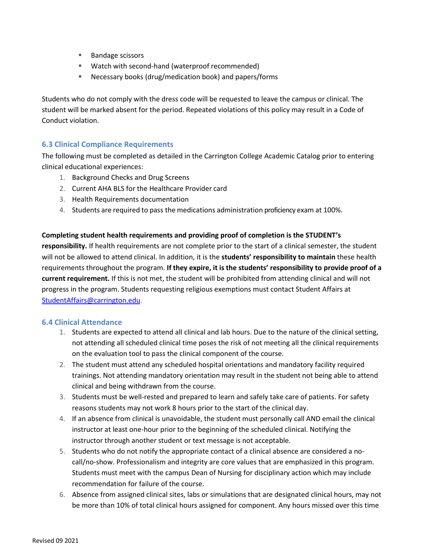- Bandage scissors
- Watch with second-hand (waterproof recommended)
- Necessary books (drug/medication book) and papers/forms

Students who do not comply with the dress code will be requested to leave the campus or clinical. The student will be marked absent for the period. Repeated violations of this policy may result in a Code of Conduct violation.

## <span id="page-25-0"></span>**6.3 Clinical Compliance Requirements**

The following must be completed as detailed in the Carrington College Academic Catalog prior to entering clinical educational experiences:

- 1. Background Checks and Drug Screens
- 2. Current AHA BLS for the Healthcare Provider card
- 3. Health Requirements documentation
- 4. Students are required to pass the medications administration proficiency exam at 100%.

#### **Completing student health requirements and providing proof of completion is the STUDENT's**

**responsibility.** If health requirements are not complete prior to the start of a clinical semester, the student will not be allowed to attend clinical. In addition, it is the **students' responsibility to maintain** these health requirements throughout the program. **If they expire, it is the students' responsibility to provide proof of a current requirement.** If this is not met, the student will be prohibited from attending clinical and will not progress in the program. Students requesting religious exemptions must contact Student Affairs at [StudentAffairs@carrington.edu.](mailto:StudentAffairs@carrington.edu)

## <span id="page-25-1"></span>**6.4 Clinical Attendance**

- 1. Students are expected to attend all clinical and lab hours. Due to the nature of the clinical setting, not attending all scheduled clinical time poses the risk of not meeting all the clinical requirements on the evaluation tool to pass the clinical component of the course.
- 2. The student must attend any scheduled hospital orientations and mandatory facility required trainings. Not attending mandatory orientation may result in the student not being able to attend clinical and being withdrawn from the course.
- 3. Students must be well-rested and prepared to learn and safely take care of patients. For safety reasons students may not work 8 hours prior to the start of the clinical day.
- 4. If an absence from clinical is unavoidable, the student must personally call AND email the clinical instructor at least one-hour prior to the beginning of the scheduled clinical. Notifying the instructor through another student or text message is not acceptable.
- 5. Students who do not notify the appropriate contact of a clinical absence are considered a nocall/no-show. Professionalism and integrity are core values that are emphasized in this program. Students must meet with the campus Dean of Nursing for disciplinary action which may include recommendation for failure of the course.
- 6. Absence from assigned clinical sites, labs or simulations that are designated clinical hours, may not be more than 10% of total clinical hours assigned for component. Any hours missed over this time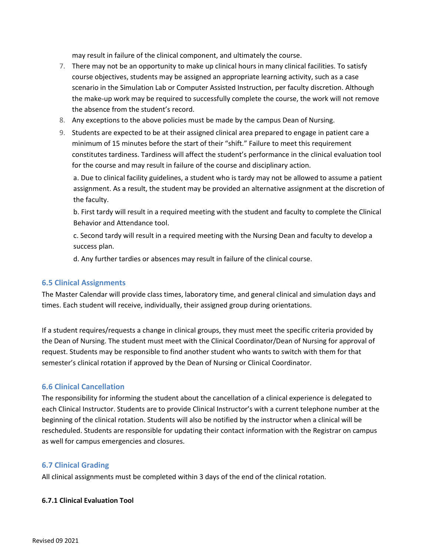may result in failure of the clinical component, and ultimately the course.

- 7. There may not be an opportunity to make up clinical hours in many clinical facilities. To satisfy course objectives, students may be assigned an appropriate learning activity, such as a case scenario in the Simulation Lab or Computer Assisted Instruction, per faculty discretion. Although the make-up work may be required to successfully complete the course, the work will not remove the absence from the student's record.
- 8. Any exceptions to the above policies must be made by the campus Dean of Nursing.
- 9. Students are expected to be at their assigned clinical area prepared to engage in patient care a minimum of 15 minutes before the start of their "shift." Failure to meet this requirement constitutes tardiness. Tardiness will affect the student's performance in the clinical evaluation tool for the course and may result in failure of the course and disciplinary action.

a. Due to clinical facility guidelines, a student who is tardy may not be allowed to assume a patient assignment. As a result, the student may be provided an alternative assignment at the discretion of the faculty.

b. First tardy will result in a required meeting with the student and faculty to complete the Clinical Behavior and Attendance tool.

c. Second tardy will result in a required meeting with the Nursing Dean and faculty to develop a success plan.

d. Any further tardies or absences may result in failure of the clinical course.

#### <span id="page-26-0"></span>**6.5 Clinical Assignments**

The Master Calendar will provide class times, laboratory time, and general clinical and simulation days and times. Each student will receive, individually, their assigned group during orientations.

If a student requires/requests a change in clinical groups, they must meet the specific criteria provided by the Dean of Nursing. The student must meet with the Clinical Coordinator/Dean of Nursing for approval of request. Students may be responsible to find another student who wants to switch with them for that semester's clinical rotation if approved by the Dean of Nursing or Clinical Coordinator.

#### <span id="page-26-1"></span>**6.6 Clinical Cancellation**

The responsibility for informing the student about the cancellation of a clinical experience is delegated to each Clinical Instructor. Students are to provide Clinical Instructor's with a current telephone number at the beginning of the clinical rotation. Students will also be notified by the instructor when a clinical will be rescheduled. Students are responsible for updating their contact information with the Registrar on campus as well for campus emergencies and closures.

#### <span id="page-26-2"></span>**6.7 Clinical Grading**

All clinical assignments must be completed within 3 days of the end of the clinical rotation.

#### <span id="page-26-3"></span>**6.7.1 Clinical Evaluation Tool**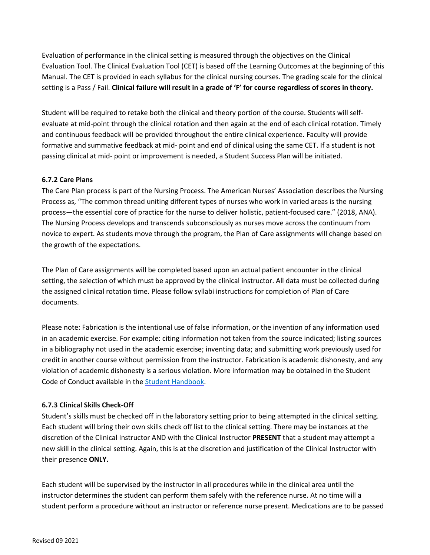Evaluation of performance in the clinical setting is measured through the objectives on the Clinical Evaluation Tool. The Clinical Evaluation Tool (CET) is based off the Learning Outcomes at the beginning of this Manual. The CET is provided in each syllabus for the clinical nursing courses. The grading scale for the clinical setting is a Pass / Fail. **Clinical failure will result in a grade of 'F' for course regardless of scores in theory.**

Student will be required to retake both the clinical and theory portion of the course. Students will selfevaluate at mid-point through the clinical rotation and then again at the end of each clinical rotation. Timely and continuous feedback will be provided throughout the entire clinical experience. Faculty will provide formative and summative feedback at mid- point and end of clinical using the same CET. If a student is not passing clinical at mid- point or improvement is needed, a Student Success Plan will be initiated.

### <span id="page-27-0"></span>**6.7.2 Care Plans**

The Care Plan process is part of the Nursing Process. The American Nurses' Association describes the Nursing Process as, "The common thread uniting different types of nurses who work in varied areas is the nursing process—the essential core of practice for the nurse to deliver holistic, patient-focused care." (2018, ANA). The Nursing Process develops and transcends subconsciously as nurses move across the continuum from novice to expert. As students move through the program, the Plan of Care assignments will change based on the growth of the expectations.

The Plan of Care assignments will be completed based upon an actual patient encounter in the clinical setting, the selection of which must be approved by the clinical instructor. All data must be collected during the assigned clinical rotation time. Please follow syllabi instructions for completion of Plan of Care documents.

Please note: Fabrication is the intentional use of false information, or the invention of any information used in an academic exercise. For example: citing information not taken from the source indicated; listing sources in a bibliography not used in the academic exercise; inventing data; and submitting work previously used for credit in another course without permission from the instructor. Fabrication is academic dishonesty, and any violation of academic dishonesty is a serious violation. More information may be obtained in the Student Code of Conduct available in the **Student Handbook**.

#### <span id="page-27-1"></span>**6.7.3 Clinical Skills Check-Off**

Student's skills must be checked off in the laboratory setting prior to being attempted in the clinical setting. Each student will bring their own skills check off list to the clinical setting. There may be instances at the discretion of the Clinical Instructor AND with the Clinical Instructor **PRESENT** that a student may attempt a new skill in the clinical setting. Again, this is at the discretion and justification of the Clinical Instructor with their presence **ONLY.**

Each student will be supervised by the instructor in all procedures while in the clinical area until the instructor determines the student can perform them safely with the reference nurse. At no time will a student perform a procedure without an instructor or reference nurse present. Medications are to be passed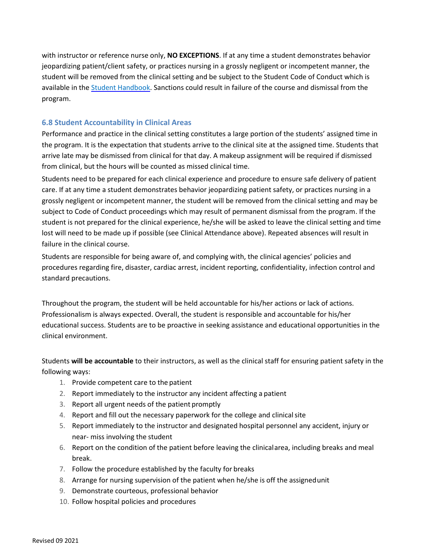with instructor or reference nurse only, **NO EXCEPTIONS**. If at any time a student demonstrates behavior jeopardizing patient/client safety, or practices nursing in a grossly negligent or incompetent manner, the student will be removed from the clinical setting and be subject to the Student Code of Conduct which is available in the [Student Handbook.](http://students.carrington.edu/student-handbook/) Sanctions could result in failure of the course and dismissal from the program.

## <span id="page-28-0"></span>**6.8 Student Accountability in Clinical Areas**

Performance and practice in the clinical setting constitutes a large portion of the students' assigned time in the program. It is the expectation that students arrive to the clinical site at the assigned time. Students that arrive late may be dismissed from clinical for that day. A makeup assignment will be required if dismissed from clinical, but the hours will be counted as missed clinical time.

Students need to be prepared for each clinical experience and procedure to ensure safe delivery of patient care. If at any time a student demonstrates behavior jeopardizing patient safety, or practices nursing in a grossly negligent or incompetent manner, the student will be removed from the clinical setting and may be subject to Code of Conduct proceedings which may result of permanent dismissal from the program. If the student is not prepared for the clinical experience, he/she will be asked to leave the clinical setting and time lost will need to be made up if possible (see Clinical Attendance above). Repeated absences will result in failure in the clinical course.

Students are responsible for being aware of, and complying with, the clinical agencies' policies and procedures regarding fire, disaster, cardiac arrest, incident reporting, confidentiality, infection control and standard precautions.

Throughout the program, the student will be held accountable for his/her actions or lack of actions. Professionalism is always expected. Overall, the student is responsible and accountable for his/her educational success. Students are to be proactive in seeking assistance and educational opportunities in the clinical environment.

Students **will be accountable** to their instructors, as well as the clinical staff for ensuring patient safety in the following ways:

- 1. Provide competent care to the patient
- 2. Report immediately to the instructor any incident affecting a patient
- 3. Report all urgent needs of the patient promptly
- 4. Report and fill out the necessary paperwork for the college and clinicalsite
- 5. Report immediately to the instructor and designated hospital personnel any accident, injury or near- miss involving the student
- 6. Report on the condition of the patient before leaving the clinicalarea, including breaks and meal break.
- 7. Follow the procedure established by the faculty for breaks
- 8. Arrange for nursing supervision of the patient when he/she is off the assignedunit
- 9. Demonstrate courteous, professional behavior
- 10. Follow hospital policies and procedures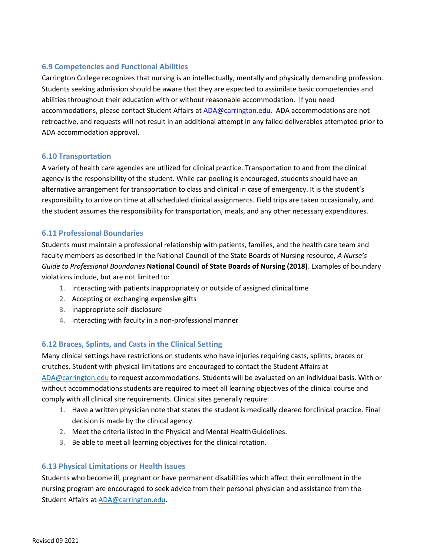## <span id="page-29-0"></span>**6.9 Competencies and Functional Abilities**

Carrington College recognizes that nursing is an intellectually, mentally and physically demanding profession. Students seeking admission should be aware that they are expected to assimilate basic competencies and abilities throughout their education with or without reasonable accommodation. If you need accommodations, please contact Student Affairs a[t ADA@carrington.edu.](mailto:ADA@carrington.edu.) ADA accommodations are not retroactive, and requests will not result in an additional attempt in any failed deliverables attempted prior to ADA accommodation approval.

### <span id="page-29-1"></span>**6.10 Transportation**

A variety of health care agencies are utilized for clinical practice. Transportation to and from the clinical agency is the responsibility of the student. While car-pooling is encouraged, students should have an alternative arrangement for transportation to class and clinical in case of emergency. It is the student's responsibility to arrive on time at all scheduled clinical assignments. Field trips are taken occasionally, and the student assumes the responsibility for transportation, meals, and any other necessary expenditures.

## <span id="page-29-2"></span>**6.11 Professional Boundaries**

Students must maintain a professional relationship with patients, families, and the health care team and faculty members as described in the National Council of the State Boards of Nursing resource, *A Nurse's Guide to Professional Boundaries* **National Council of State Boards of Nursing (2018)***.* Examples of boundary violations include, but are not limited to:

- 1. Interacting with patients inappropriately or outside of assigned clinicaltime
- 2. Accepting or exchanging expensive gifts
- 3. Inappropriate self-disclosure
- 4. Interacting with faculty in a non-professional manner

## <span id="page-29-3"></span>**6.12 Braces, Splints, and Casts in the Clinical Setting**

Many clinical settings have restrictions on students who have injuries requiring casts, splints, braces or crutches. Student with physical limitations are encouraged to contact the Student Affairs at [ADA@carrington.edu](mailto:ADA@carrington.edu) to request accommodations. Students will be evaluated on an individual basis. With or without accommodations students are required to meet all learning objectives of the clinical course and comply with all clinical site requirements. Clinical sites generally require:

- 1. Have a written physician note that states the student is medically cleared forclinical practice. Final decision is made by the clinical agency.
- 2. Meet the criteria listed in the Physical and Mental HealthGuidelines.
- 3. Be able to meet all learning objectives for the clinical rotation.

## <span id="page-29-4"></span>**6.13 Physical Limitations or Health Issues**

Students who become ill, pregnant or have permanent disabilities which affect their enrollment in the nursing program are encouraged to seek advice from their personal physician and assistance from the Student Affairs at **ADA@carrington.edu**.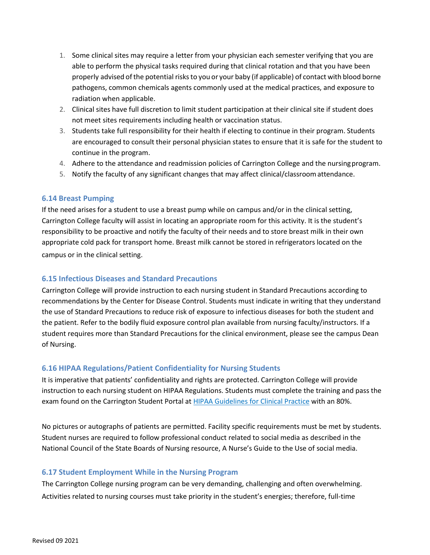- 1. Some clinical sites may require a letter from your physician each semester verifying that you are able to perform the physical tasks required during that clinical rotation and that you have been properly advised ofthe potential risksto you or your baby (if applicable) of contact with blood borne pathogens, common chemicals agents commonly used at the medical practices, and exposure to radiation when applicable.
- 2. Clinical sites have full discretion to limit student participation at their clinical site if student does not meet sites requirements including health or vaccination status.
- 3. Students take full responsibility for their health if electing to continue in their program. Students are encouraged to consult their personal physician states to ensure that it is safe for the student to continue in the program.
- 4. Adhere to the attendance and readmission policies of Carrington College and the nursingprogram.
- 5. Notify the faculty of any significant changes that may affect clinical/classroomattendance.

#### <span id="page-30-0"></span>**6.14 Breast Pumping**

If the need arises for a student to use a breast pump while on campus and/or in the clinical setting, Carrington College faculty will assist in locating an appropriate room for this activity. It is the student's responsibility to be proactive and notify the faculty of their needs and to store breast milk in their own appropriate cold pack for transport home. Breast milk cannot be stored in refrigerators located on the campus or in the clinical setting.

#### <span id="page-30-1"></span>**6.15 Infectious Diseases and Standard Precautions**

Carrington College will provide instruction to each nursing student in Standard Precautions according to recommendations by the Center for Disease Control. Students must indicate in writing that they understand the use of Standard Precautions to reduce risk of exposure to infectious diseases for both the student and the patient. Refer to the bodily fluid exposure control plan available from nursing faculty/instructors. If a student requires more than Standard Precautions for the clinical environment, please see the campus Dean of Nursing.

## <span id="page-30-2"></span>**6.16 HIPAA Regulations/Patient Confidentiality for Nursing Students**

It is imperative that patients' confidentiality and rights are protected. Carrington College will provide instruction to each nursing student on HIPAA Regulations. Students must complete the training and pass the exam found on the Carrington Student Portal at [HIPAA Guidelines for Clinical Practice](http://carrington.edu/hipaa/guidelines) with an 80%.

No pictures or autographs of patients are permitted. Facility specific requirements must be met by students. Student nurses are required to follow professional conduct related to social media as described in the National Council of the State Boards of Nursing resource, A Nurse's Guide to the Use of social media.

## <span id="page-30-3"></span>**6.17 Student Employment While in the Nursing Program**

The Carrington College nursing program can be very demanding, challenging and often overwhelming. Activities related to nursing courses must take priority in the student's energies; therefore, full-time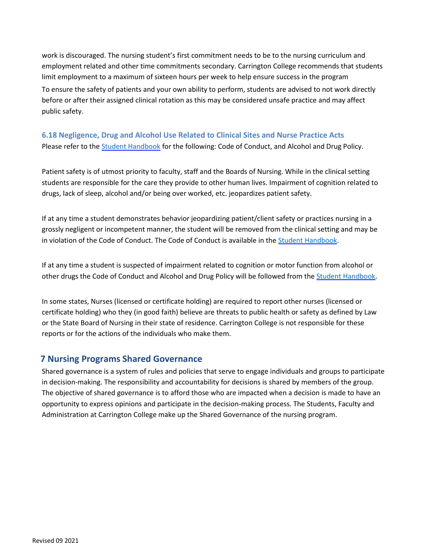work is discouraged. The nursing student's first commitment needs to be to the nursing curriculum and employment related and other time commitments secondary. Carrington College recommends that students limit employment to a maximum of sixteen hours per week to help ensure success in the program To ensure the safety of patients and your own ability to perform, students are advised to not work directly before or after their assigned clinical rotation as this may be considered unsafe practice and may affect public safety.

## <span id="page-31-0"></span>**6.18 Negligence, Drug and Alcohol Use Related to Clinical Sites and Nurse Practice Acts** Please refer to the **Student Handbook** for the following: Code of Conduct, and Alcohol and Drug Policy.

Patient safety is of utmost priority to faculty, staff and the Boards of Nursing. While in the clinical setting students are responsible for the care they provide to other human lives. Impairment of cognition related to drugs, lack of sleep, alcohol and/or being over worked, etc. jeopardizes patient safety.

If at any time a student demonstrates behavior jeopardizing patient/client safety or practices nursing in a grossly negligent or incompetent manner, the student will be removed from the clinical setting and may be in violation of the Code of Conduct. The Code of Conduct is available in the [Student Handbook.](http://students.carrington.edu/student-handbook/)

If at any time a student is suspected of impairment related to cognition or motor function from alcohol or other drugs the Code of Conduct and Alcohol and Drug Policy will be followed from th[e Student Handbook.](http://students.carrington.edu/student-handbook/)

In some states, Nurses (licensed or certificate holding) are required to report other nurses (licensed or certificate holding) who they (in good faith) believe are threats to public health or safety as defined by Law or the State Board of Nursing in their state of residence. Carrington College is not responsible for these reports or for the actions of the individuals who make them.

## <span id="page-31-1"></span>**7 Nursing Programs Shared Governance**

Shared governance is a system of rules and policies that serve to engage individuals and groups to participate in decision-making. The responsibility and accountability for decisions is shared by members of the group. The objective of shared governance is to afford those who are impacted when a decision is made to have an opportunity to express opinions and participate in the decision-making process. The Students, Faculty and Administration at Carrington College make up the Shared Governance of the nursing program.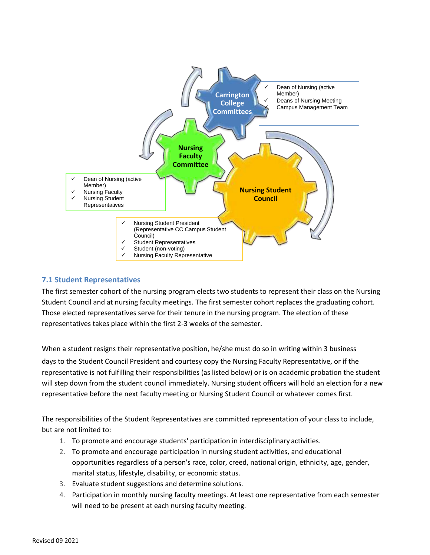

## <span id="page-32-0"></span>**7.1 Student Representatives**

The first semester cohort of the nursing program elects two students to represent their class on the Nursing Student Council and at nursing faculty meetings. The first semester cohort replaces the graduating cohort. Those elected representatives serve for their tenure in the nursing program. The election of these representatives takes place within the first 2-3 weeks of the semester.

When a student resigns their representative position, he/she must do so in writing within 3 business days to the Student Council President and courtesy copy the Nursing Faculty Representative, or if the representative is not fulfilling their responsibilities (as listed below) or is on academic probation the student will step down from the student council immediately. Nursing student officers will hold an election for a new representative before the next faculty meeting or Nursing Student Council or whatever comes first.

The responsibilities of the Student Representatives are committed representation of your class to include, but are not limited to:

- 1. To promote and encourage students' participation in interdisciplinary activities.
- 2. To promote and encourage participation in nursing student activities, and educational opportunities regardless of a person's race, color, creed, national origin, ethnicity, age, gender, marital status, lifestyle, disability, or economic status.
- 3. Evaluate student suggestions and determine solutions.
- 4. Participation in monthly nursing faculty meetings. At least one representative from each semester will need to be present at each nursing faculty meeting.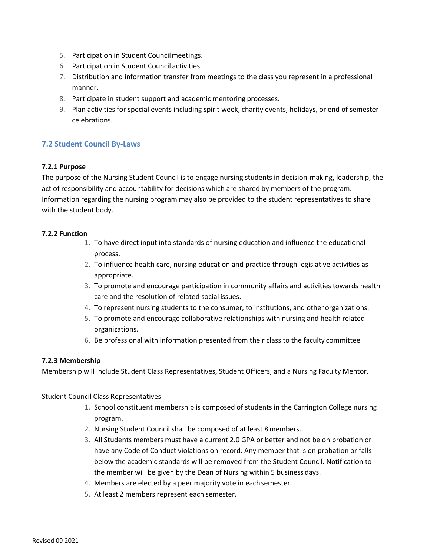- 5. Participation in Student Councilmeetings.
- 6. Participation in Student Council activities.
- 7. Distribution and information transfer from meetings to the class you represent in a professional manner.
- 8. Participate in student support and academic mentoring processes.
- 9. Plan activities for special events including spirit week, charity events, holidays, or end of semester celebrations.

## <span id="page-33-0"></span>**7.2 Student Council By-Laws**

### <span id="page-33-1"></span>**7.2.1 Purpose**

The purpose of the Nursing Student Council is to engage nursing students in decision-making, leadership, the act of responsibility and accountability for decisions which are shared by members of the program. Information regarding the nursing program may also be provided to the student representatives to share with the student body.

#### <span id="page-33-2"></span>**7.2.2 Function**

- 1. To have direct input into standards of nursing education and influence the educational process.
- 2. To influence health care, nursing education and practice through legislative activities as appropriate.
- 3. To promote and encourage participation in community affairs and activities towards health care and the resolution of related social issues.
- 4. To represent nursing students to the consumer, to institutions, and other organizations.
- 5. To promote and encourage collaborative relationships with nursing and health related organizations.
- 6. Be professional with information presented from their class to the faculty committee

## <span id="page-33-3"></span>**7.2.3 Membership**

Membership will include Student Class Representatives, Student Officers, and a Nursing Faculty Mentor.

Student Council Class Representatives

- 1. School constituent membership is composed of students in the Carrington College nursing program.
- 2. Nursing Student Council shall be composed of at least 8members.
- 3. All Students members must have a current 2.0 GPA or better and not be on probation or have any Code of Conduct violations on record. Any member that is on probation or falls below the academic standards will be removed from the Student Council. Notification to the member will be given by the Dean of Nursing within 5 business days.
- 4. Members are elected by a peer majority vote in eachsemester.
- 5. At least 2 members represent each semester.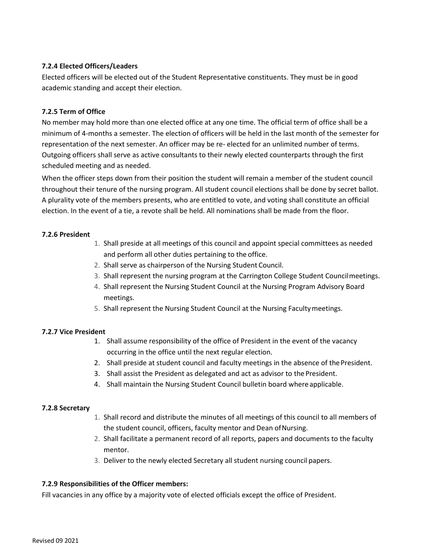### <span id="page-34-0"></span>**7.2.4 Elected Officers/Leaders**

Elected officers will be elected out of the Student Representative constituents. They must be in good academic standing and accept their election.

## <span id="page-34-1"></span>**7.2.5 Term of Office**

No member may hold more than one elected office at any one time. The official term of office shall be a minimum of 4-months a semester. The election of officers will be held in the last month of the semester for representation of the next semester. An officer may be re- elected for an unlimited number of terms. Outgoing officers shall serve as active consultants to their newly elected counterparts through the first scheduled meeting and as needed.

When the officer steps down from their position the student will remain a member of the student council throughout their tenure of the nursing program. All student council elections shall be done by secret ballot. A plurality vote of the members presents, who are entitled to vote, and voting shall constitute an official election. In the event of a tie, a revote shall be held. All nominations shall be made from the floor.

#### <span id="page-34-2"></span>**7.2.6 President**

- 1. Shall preside at all meetings of this council and appoint special committees as needed and perform all other duties pertaining to the office.
- 2. Shall serve as chairperson of the Nursing Student Council.
- 3. Shall represent the nursing program at the Carrington College Student Councilmeetings.
- 4. Shall represent the Nursing Student Council at the Nursing Program Advisory Board meetings.
- 5. Shall represent the Nursing Student Council at the Nursing Facultymeetings.

#### <span id="page-34-3"></span>**7.2.7 Vice President**

- 1. Shall assume responsibility of the office of President in the event of the vacancy occurring in the office until the next regular election.
- 2. Shall preside at student council and faculty meetings in the absence of the President.
- 3. Shall assist the President as delegated and act as advisor to the President.
- 4. Shall maintain the Nursing Student Council bulletin board where applicable.

#### <span id="page-34-4"></span>**7.2.8 Secretary**

- 1. Shall record and distribute the minutes of all meetings of this council to all members of the student council, officers, faculty mentor and Dean ofNursing.
- 2. Shall facilitate a permanent record of all reports, papers and documents to the faculty mentor.
- 3. Deliver to the newly elected Secretary all student nursing council papers.

#### <span id="page-34-5"></span>**7.2.9 Responsibilities of the Officer members:**

Fill vacancies in any office by a majority vote of elected officials except the office of President.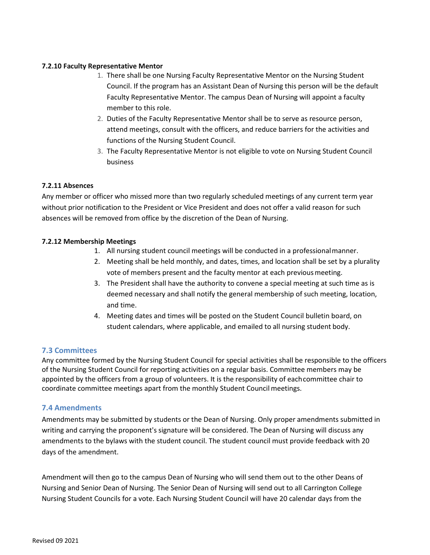#### <span id="page-35-0"></span>**7.2.10 Faculty Representative Mentor**

- 1. There shall be one Nursing Faculty Representative Mentor on the Nursing Student Council. If the program has an Assistant Dean of Nursing this person will be the default Faculty Representative Mentor. The campus Dean of Nursing will appoint a faculty member to this role.
- 2. Duties of the Faculty Representative Mentor shall be to serve as resource person, attend meetings, consult with the officers, and reduce barriers for the activities and functions of the Nursing Student Council.
- 3. The Faculty Representative Mentor is not eligible to vote on Nursing Student Council business

#### <span id="page-35-1"></span>**7.2.11 Absences**

Any member or officer who missed more than two regularly scheduled meetings of any current term year without prior notification to the President or Vice President and does not offer a valid reason for such absences will be removed from office by the discretion of the Dean of Nursing.

#### <span id="page-35-2"></span>**7.2.12 Membership Meetings**

- 1. All nursing student council meetings will be conducted in a professionalmanner.
- 2. Meeting shall be held monthly, and dates, times, and location shall be set by a plurality vote of members present and the faculty mentor at each previous meeting.
- 3. The President shall have the authority to convene a special meeting at such time as is deemed necessary and shall notify the general membership of such meeting, location, and time.
- 4. Meeting dates and times will be posted on the Student Council bulletin board, on student calendars, where applicable, and emailed to all nursing student body.

#### <span id="page-35-3"></span>**7.3 Committees**

Any committee formed by the Nursing Student Council for special activities shall be responsible to the officers of the Nursing Student Council for reporting activities on a regular basis. Committee members may be appointed by the officers from a group of volunteers. It is the responsibility of eachcommittee chair to coordinate committee meetings apart from the monthly Student Councilmeetings.

#### <span id="page-35-4"></span>**7.4 Amendments**

Amendments may be submitted by students or the Dean of Nursing. Only proper amendments submitted in writing and carrying the proponent's signature will be considered. The Dean of Nursing will discuss any amendments to the bylaws with the student council. The student council must provide feedback with 20 days of the amendment.

Amendment will then go to the campus Dean of Nursing who will send them out to the other Deans of Nursing and Senior Dean of Nursing. The Senior Dean of Nursing will send out to all Carrington College Nursing Student Councils for a vote. Each Nursing Student Council will have 20 calendar days from the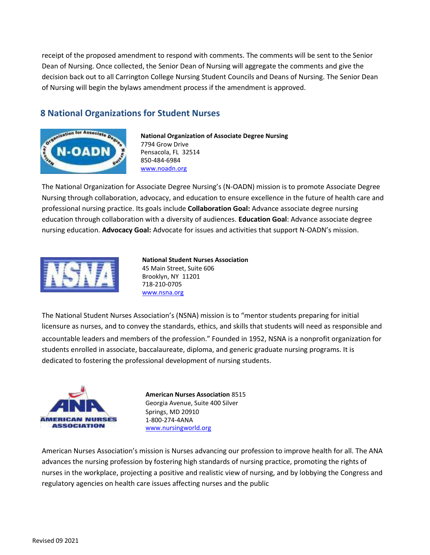receipt of the proposed amendment to respond with comments. The comments will be sent to the Senior Dean of Nursing. Once collected, the Senior Dean of Nursing will aggregate the comments and give the decision back out to all Carrington College Nursing Student Councils and Deans of Nursing. The Senior Dean of Nursing will begin the bylaws amendment process if the amendment is approved.

# <span id="page-36-0"></span>**8 National Organizations for Student Nurses**



**National Organization of Associate Degree Nursing** 7794 Grow Drive Pensacola, FL 32514 850-484-6984 [www.noadn.org](http://www.noadn.org/)

The National Organization for Associate Degree Nursing's (N-OADN) mission is to promote Associate Degree Nursing through collaboration, advocacy, and education to ensure excellence in the future of health care and professional nursing practice. Its goals include **Collaboration Goal:** Advance associate degree nursing education through collaboration with a diversity of audiences. **Education Goal**: Advance associate degree nursing education. **Advocacy Goal:** Advocate for issues and activities that support N-OADN's mission.



**National Student Nurses Association** 45 Main Street, Suite 606 Brooklyn, NY 11201 718-210-0705 [www.nsna.org](http://www.nsna.org/)

The National Student Nurses Association's (NSNA) mission is to "mentor students preparing for initial licensure as nurses, and to convey the standards, ethics, and skills that students will need as responsible and accountable leaders and members of the profession." Founded in 1952, NSNA is a nonprofit organization for students enrolled in associate, baccalaureate, diploma, and generic graduate nursing programs. It is dedicated to fostering the professional development of nursing students.



**American Nurses Association** 8515 Georgia Avenue, Suite 400 Silver Springs, MD 20910 1-800-274-4ANA [www.nursingworld.org](http://www.nursingworld.org/) 

American Nurses Association's mission is Nurses advancing our profession to improve health for all. The ANA advances the nursing profession by fostering high standards of nursing practice, promoting the rights of nurses in the workplace, projecting a positive and realistic view of nursing, and by lobbying the Congress and regulatory agencies on health care issues affecting nurses and the public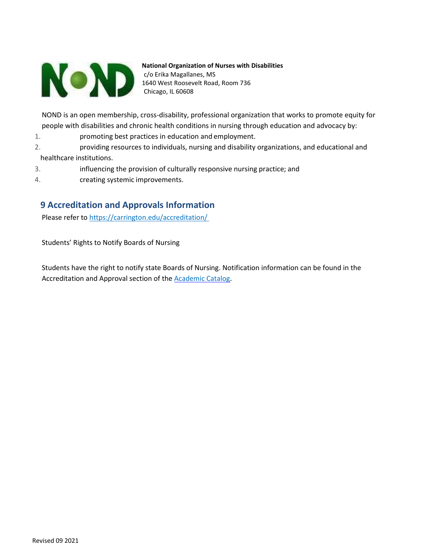

**National Organization of Nurses with Disabilities** c/o Erika Magallanes, MS 1640 West Roosevelt Road, Room 736 Chicago, IL 60608

NOND is an open membership, cross-disability, professional organization that works to promote equity for people with disabilities and chronic health conditions in nursing through education and advocacy by:

- 1. promoting best practices in education and employment.
- 2. providing resources to individuals, nursing and disability organizations, and educational and healthcare institutions.
- 3. influencing the provision of culturally responsive nursing practice; and
- 4. creating systemic improvements.

# <span id="page-37-0"></span>**9 Accreditation and Approvals Information**

Please refer to<https://carrington.edu/accreditation/>

Students' Rights to Notify Boards of Nursing

Students have the right to notify state Boards of Nursing. Notification information can be found in the Accreditation and Approval section of the **Academic Catalog**.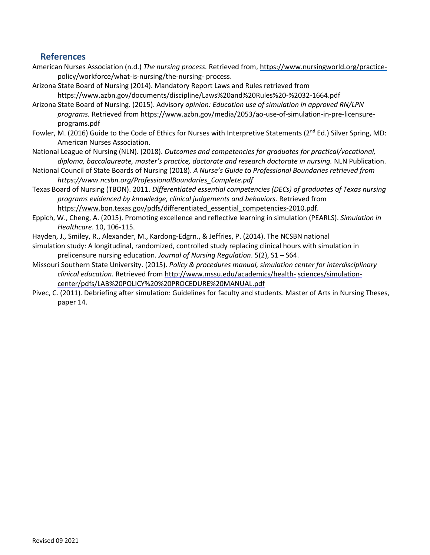## <span id="page-38-0"></span>**References**

- American Nurses Association (n.d.) *The nursing process.* Retrieved from, [https://www.nursingworld.org/practice](https://www.nursingworld.org/practice-policy/workforce/what-is-nursing/the-nursing-process)[policy/workforce/what-is-nursing/the-nursing-](https://www.nursingworld.org/practice-policy/workforce/what-is-nursing/the-nursing-process) [process.](https://www.nursingworld.org/practice-policy/workforce/what-is-nursing/the-nursing-process)
- Arizona State Board of Nursing (2014). Mandatory Report Laws and Rules retrieved from https:/[/www.azbn.gov/documents/discipline/Laws%20and%20Rules%20-%2032-1664.pdf](http://www.azbn.gov/documents/discipline/Laws%20and%20Rules%20-%2032-1664.pdf)
- Arizona State Board of Nursing. (2015). Advisory *opinion: Education use of simulation in approved RN/LPN programs.* Retrieved from [https://www.azbn.gov/media/2053/ao-use-of-simulation-in-pre-licensure](https://www.azbn.gov/media/2053/ao-use-of-simulation-in-pre-licensure-programs.pdf)[programs.pdf](https://www.azbn.gov/media/2053/ao-use-of-simulation-in-pre-licensure-programs.pdf)
- Fowler, M. (2016) Guide to the Code of Ethics for Nurses with Interpretive Statements ( $2^{nd}$  Ed.) Silver Spring, MD: American Nurses Association.
- National League of Nursing (NLN). (2018). *Outcomes and competencies for graduates for practical/vocational, diploma, baccalaureate, master's practice, doctorate and research doctorate in nursing.* NLN Publication.
- National Council of State Boards of Nursing (2018). *A Nurse's Guide t*o *Professional Boundaries retrieved from https://www.ncsbn.org/ProfessionalBoundaries\_Complete.pdf*
- Texas Board of Nursing (TBON). 2011. *Differentiated essential competencies (DECs) of graduates of Texas nursing programs evidenced by knowledge, clinical judgements and behaviors*. Retrieved from https://www.bon.texas.gov/pdfs/differentiated essential competencies-2010.pdf.
- Eppich, W., Cheng, A. (2015). Promoting excellence and reflective learning in simulation (PEARLS). *Simulation in Healthcare*. 10, 106-115.
- Hayden, J., Smiley, R., Alexander, M., Kardong-Edgrn., & Jeffries, P. (2014). The NCSBN national
- simulation study: A longitudinal, randomized, controlled study replacing clinical hours with simulation in prelicensure nursing education. *Journal of Nursing Regulation*. 5(2), S1 – S64.
- Missouri Southern State University. (2015). *Policy & procedures manual, simulation center for interdisciplinary clinical education.* Retrieved fro[m http://www.mssu.edu/academics/health-](http://www.mssu.edu/academics/health-sciences/simulation-center/pdfs/LAB%20POLICY%20%20PROCEDURE%20MANUAL.pdf) [sciences/simulation](http://www.mssu.edu/academics/health-sciences/simulation-center/pdfs/LAB%20POLICY%20%20PROCEDURE%20MANUAL.pdf)[center/pdfs/LAB%20POLICY%20%20PROCEDURE%20MANUAL.pdf](http://www.mssu.edu/academics/health-sciences/simulation-center/pdfs/LAB%20POLICY%20%20PROCEDURE%20MANUAL.pdf)
- Pivec, C. (2011). Debriefing after simulation: Guidelines for faculty and students. Master of Arts in Nursing Theses, paper 14.